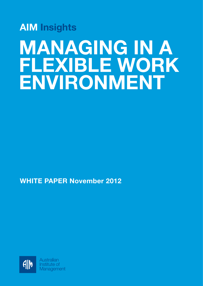# **AIM Insights**

# **MANAGING IN A FLEXIBLE WORK ENVIRONMENT**

**WHITE PAPER November 2012** 

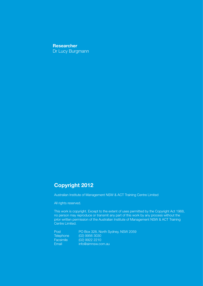**Researcher**  Dr Lucy Burgmann

# **Copyright 2012**

Australian Institute of Management NSW & ACT Training Centre Limited

All rights reserved.

This work is copyright. Except to the extent of uses permitted by the Copyright Act 1968, no person may reproduce or transmit any part of this work by any process without the prior written permission of the Australian Institute of Management NSW & ACT Training Centre Limited.

| Post             | PO Box 328, North Sydney, NSW 2059 |
|------------------|------------------------------------|
| <b>Telephone</b> | (02) 9956 3030                     |
| <b>Facsimile</b> | (02) 9922 2210                     |
| Email            | 'info@aimnsw.com.au.               |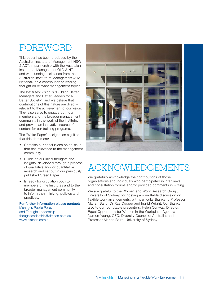# FOREWOR

This paper has been produced by the Australian Institute of Management NSW & ACT, in partnership with the Australian Institute of Management QLD & NT and with funding assistance from the Australian Institute of Management (AIM National), as a contribution to leading thought on relevant management topics.

The Institutes' vision is "Building Better Managers and Better Leaders for a Better Society", and we believe that contributions of this nature are directly relevant to the achievement of our vision. They also serve to engage both our members and the broader management community in the work of the Institute, and provide an innovative source of content for our training programs.

 The "White Paper" designation signifies that this document:

- Contains our conclusions on an issue that has relevance to the management community
- Builds on our initial thoughts and insights, developed through a process of qualitative and/ or quantitative research and set out in our previously published Green Paper
- Is ready for circulation both to members of the Institutes and to the broader management community to inform their thinking, policies and practices.

**For further information please contact:**  Manager, Public Policy and Thought Leadership thoughtleadership@aimcan.com.au www.aimcan.com.au



# ACKNOWLEDGEMENTS

We gratefully acknowledge the contributions of those organisations and individuals who participated in interviews and consultation forums and/or provided comments in writing.

We are grateful to the Women and Work Research Group, University of Sydney, for hosting a roundtable discussion on flexible work arrangements, with particular thanks to Professor Marian Baird, Dr Rae Cooper and Ingrid Wright. Our thanks also to our roundtable presenters: Helen Conway, Director, Equal Opportunity for Women in the Workplace Agency; Nareen Young, CEO, Diversity Council of Australia; and Professor Marian Baird, University of Sydney.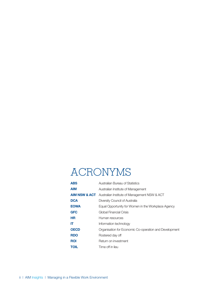# ACRONYMS

| <b>ABS</b>  | Australian Bureau of Statistics                                       |  |
|-------------|-----------------------------------------------------------------------|--|
| <b>AIM</b>  | Australian Institute of Management                                    |  |
|             | <b>AIM NSW &amp; ACT</b> Australian Institute of Management NSW & ACT |  |
| <b>DCA</b>  | Diversity Council of Australia                                        |  |
| <b>EOWA</b> | Equal Opportunity for Women in the Workplace Agency                   |  |
| <b>GFC</b>  | Global Financial Crisis                                               |  |
| HR          | Human resources                                                       |  |
| IΤ          | Information technology                                                |  |
| <b>OECD</b> | Organisation for Economic Co-operation and Development                |  |
| <b>RDO</b>  | Rostered day off                                                      |  |
| <b>ROI</b>  | Return on investment                                                  |  |
| <b>TOIL</b> | Time off in lieu                                                      |  |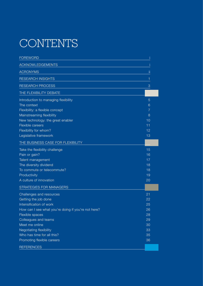# CONTENTS

| <b>FOREWORD</b>                                     |                |
|-----------------------------------------------------|----------------|
| <b>ACKNOWLEDGEMENTS</b>                             |                |
| <b>ACRONYMS</b>                                     | ii             |
| <b>RESEARCH INSIGHTS</b>                            | 1              |
| <b>RESEARCH PROCESS</b>                             | 3              |
| THE FLEXIBILITY DEBATE                              |                |
| Introduction to managing flexibility                | $\overline{5}$ |
| The context                                         | 6              |
| Flexibility: a flexible concept                     | $\overline{7}$ |
| Mainstreaming flexibility                           | 8              |
| New technology: the great enabler                   | 10             |
| Flexible careers                                    | 11             |
| Flexibility for whom?                               | 12             |
| Legislative framework                               | 13             |
| THE BUSINESS CASE FOR FLEXIBILITY                   |                |
| Take the flexibility challenge                      | 15             |
| Pain or gain?                                       | 16             |
| Talent management                                   | 17             |
| The diversity dividend                              | 18             |
| To commute or telecommute?                          | 18             |
| Productivity                                        | 19             |
| A culture of innovation                             | 20             |
| STRATEGIES FOR MANAGERS                             |                |
| Challenges and resources                            | 21             |
| Getting the job done                                | 22             |
| Intensification of work                             | 25             |
| How can I see what you're doing if you're not here? | 26             |
| Flexible spaces                                     | 28             |
| Colleagues and teams                                | 29             |
| Meet me online                                      |                |
| Negotiating flexibility                             | 33             |
| Who has time for all this?                          | 35             |
| Promoting flexible careers                          | 36             |
| <b>REFERENCES</b>                                   |                |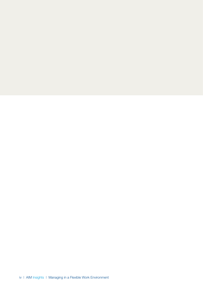iv | AIM Insights | Managing in a Flexible Work Environment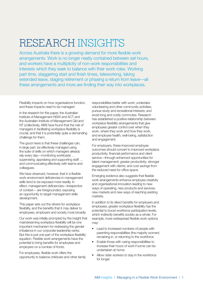# RESEARCH INSIGHTS

 Across Australia there is a growing demand for more flexible work arrangements. Work is no longer neatly contained between set hours, and workers have a multiplicity of non-work responsibilities and interests which they seek to balance with their work roles. Working part time, staggering start and finish times, teleworking, taking extended leave, staging retirement or phasing a return from leave—all these arrangements and more are finding their way into workplaces.

Flexibility impacts on how organisations function, and these impacts need to be managed.

 managers in facilitating workplace flexibility is In the research for this paper, the Australian Institute of Management NSW and ACT and the Australian Institute of Management Qld and NT (collectively, AIM) have found that the role of crucial, and that it is potentially quite a demanding challenge for them.

The good news is that these challenges can, in large part, be effectively managed using the suite of skills on which managers already rely every day—monitoring workloads … supervising, appraising and supporting staff … and communicating effectively with teams and colleagues.

 We have observed, however, that in a flexible work environment deficiencies in management skills tend to be exposed more readily. In effect, management deficiencies—irrespective of context— are foregrounded, exposing an opportunity to target management skills development.

This paper sets out the drivers for workplace flexibility, and the benefits that it may deliver to employees, employers and society more broadly.

 But this is just one part of the workplace flexibility Our work was initially prompted by the insight that mainstreaming workplace flexibility will be one important mechanism for redressing the gender imbalance in our corporate leadership ranks. equation. Flexible work arrangements have the potential to bring benefits for employees and employers on a number of fronts.

For employees, flexible work offers the opportunity to balance childcare and other family

responsibilities better with work; undertake volunteering and other community activities; pursue study and recreational interests; and avoid long and costly commutes. Research has established a positive relationship between workplace flexibility arrangements that give employees greater control over when they work, where they work and how they work, and employee health, well-being, satisfaction and engagement.

 the reduced need for office space. For employers, these improved employee outcomes should convert to improved workplace productivity, financial performance and client service—through enhanced opportunities for talent management; greater productivity; stronger engagement with clients; and cost savings from

 Emerging evidence also suggests that flexible work arrangements enhance employee creativity and organisational innovation leading to new ways of operating, new products and services, new markets and new ways of reaching existing markets.

In addition to its direct benefits for employers and employees, greater workplace flexibility has the potential to boost workforce participation levels, which indirectly benefits society as a whole. For example, more widespread flexible work options may:

- Lead to increased numbers of people with parenting responsibilities (the majority women) remaining in, or returning to the workforce
- Enable those with caring responsibilities to increase their hours of work if some can be undertaken at home
- for longer. Allow older workers to stay in the workforce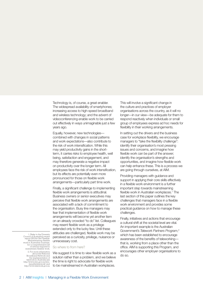Technology is, of course, a great enabler. The widespread availability of smartphones; increasing access to high-speed broadband and wireless technology; and the advent of videoconferencing enable work to be carried out effectively in ways unimaginable just a few years ago.

 employees face the risk of work intensification, pronounced for those on flexible work Equally, however, new technologies combined with changes in social patterns and work expectations—also contribute to the risk of work intensification. While this may yield productivity gains in the shortterm, it carries risks to employee health, well being, satisfaction and engagement, and may therefore generate a negative impact on productivity over the longer term. All but its effects are potentially even more arrangements—particularly part time work.

 fear that implementation of flexible work Finally, a significant challenge to implementing flexible work arrangements is attitudinal. Business owners or senior executives may perceive that flexible work arrangements are associated with a lack of commitment to the organisation. Busy line managers may arrangements will become yet another item on an already crowded "to do" list. Colleagues may resent flexible work as a privilege extended only to the lucky few. Until these attitudes are challenged, flexible work may be perceived as a curiosity, privilege, nuisance or unnecessary cost.

1. Refer to the Diversity Council of Australia's recent report (2012a) *Get Flexible: Mainstreaming flexible*<br>work in Australian business, for a comprehensive list<br>of actions required to it<br>mainstream flexible work. 2. For more information about the National Broadband Network and the implementation of<br>telework in Australia see<br>http://www.nbn.gov.au/nbn-<br>benefits/telework/ and<br>http://www.telework.gov.au

#### So where to from here?

 the time is right to advocate for flexible work We suggest it is time to view flexible work as a solution rather than a problem, and we believe to be mainstreamed in Australian workplaces.

This will involve a significant change in the culture and practices of employer organisations across the country, as it will no longer—in our view—be adequate for them to respond reactively when individuals or small group of employees express ad hoc needs for flexibility in their working arrangements.

 opportunities, and imagine how flexible work In setting out the drivers and the business case for workplace flexibility, we encourage managers to "take the flexibility challenge": identify their organisation's most pressing issues and concerns, and imagine how flexible work can be part of the answer; identify the organisation's strengths and can help enhance these. This is a process we are going through ourselves, at AIM.

 challenges that managers face in a flexible Providing managers with guidance and support in applying their core skills effectively in a flexible work environment is a further important step towards mainstreaming flexible work in Australian workplaces.<sup>1</sup> The last section of this paper outlines the key work environment and provides some practical guidance on how to manage these challenges.

Government's Telework Partners Program,<sup>2</sup> Finally, initiatives and actions that encourage a cultural shift at the societal level are vital. An important example is the Australian which has been established to encourage awareness of the benefits of teleworking that is, working from a place other than the office. AIM is supporting this Program, and encourages other employer organisations to do so.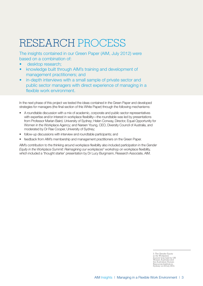# RESEARCH PROCESS

The insights contained in our Green Paper (AIM, July 2012) were based on a combination of:

- desktop research:
- knowledge built through AIM's training and development of management practitioners; and
- in-depth interviews with a small sample of private sector and public sector managers with direct experience of managing in a flexible work environment.

In the next phase of this project we tested the ideas contained in the Green Paper and developed strategies for managers (the final section of this White Paper) through the following mechanisms:

- A roundtable discussion with a mix of academic, corporate and public sector representatives with expertise and/or interest in workplace flexibility—the roundtable was led by presentations from Professor Marian Baird, University of Sydney; Helen Conway, Director, Equal Opportunity for Women in the Workplace Agency; and Nareen Young, CEO, Diversity Council of Australia, and moderated by Dr Rae Cooper, University of Sydney;
- follow-up discussions with interview and roundtable participants; and
- feedback from AIM's membership and management practitioners on the Green Paper.

 *Equity in the Workplace Summit: Reimagining our workplaces*<sup>3</sup> workshop on workplace flexibility, AIM's contribution to the thinking around workplace flexibility also included participation in the *Gender*  which included a 'thought starter' presentation by Dr Lucy Burgmann, Research Associate, AIM.

3. *The Gender Equity in the Workplace Summit* was held by UN Women Australia and the Australian Human Resources Institute in Sydney on 24 July 2012.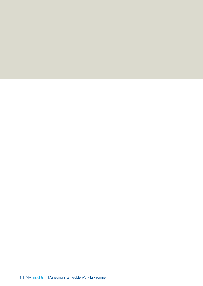4 | AIM Insights | Managing in a Flexible Work Environment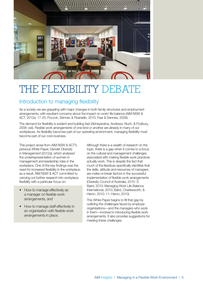

# THE FLEXIBILITY DE

# Introduction to managing flexibility

As a society we are grappling with major changes in both family structures and employment arrangements, with resultant concerns about the impact on work/ life balance (AIM NSW & ACT, 2012a: 17-20; Pocock, Skinner, & Pisaniello, 2010; Fear & Denniss, 2009).

The demand for flexibility is evident and building fast (Abhayaratna, Andrews, Nuch, & Podbury, 2008: xxii). Flexible work arrangements of one kind or another are already in many of our workplaces. As flexibility becomes part of our operating environment, managing flexibility must become part of our core business.

This project arose from AIM NSW & ACT's previous White Paper, *Gender Diversity in Management* (2012a), which analysed the underrepresentation of women in management and leadership roles in the workplace. One of the key findings was the need for increased flexibility in the workplace: as a result, AIM NSW & ACT committed to carrying out further research into workplace flexibility with a particular focus on:

- a manager on flexible work • How to manage effectively as arrangements, and
- an organisation with flexible work • How to manage staff effectively in arrangements in place.

 much of the literature specifically identifies that Although there is a wealth of research on the topic, there is a gap when it comes to a focus on the cultural and management challenges associated with making flexible work practices actually work. This is despite the fact that the skills, attitude and resources of managers are make-or-break factors in the successful implementation of flexible work arrangements (Diversity Council of Australia, 2010: 3; Baird, 2010; Managing Work Life Balance International, 2010; Baird, Charlesworth, & Heron, 2010: 11; Heron, 2010).

 in them—involved in introducing flexible work This White Paper begins to fill that gap by outlining the challenges faced by employer organisations—and the managers who work arrangements. It also provides suggestions for meeting these challenges.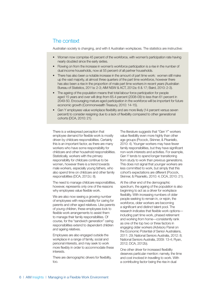# The context

Australian society is changing, and with it Australian workplaces. The statistics are instructive:

- Women now comprise 45 percent of the workforce, with women's participation rate having nearly doubled since the early sixties.
- dual income households, now at 55 percent of all partner households. • Flowing on from the increase in women's workforce participation is a rise in the number of
- There has also been a notable increase in the amount of part time work: women still make up the vast majority, at almost three quarters of the part time workforce, however there has also been a rise in the proportion of male part time workers in recent years (Australian Bureau of Statistics, 2011a: 2-3; AIM NSW & ACT, 2012a: 6 & 17; Baird, 2010: 2-3).
- The ageing of the population means that total labour force participation for people aged 15 years and over will drop from 65.4 percent (2008-09) to less than 61 percent in 2049-50. Encouraging mature aged participation in the workforce will be important for future economic growth (Commonwealth Treasury, 2010: 14-15).
- Gen Y employees value workplace flexibility and are more likely (14 percent versus seven percent) to consider resigning due to a lack of flexibility compared to other generational cohorts (DCA, 2010: 21).

There is a widespread perception that employee demand for flexible work is mostly driven by childcare responsibilities. Certainly this is an important factor, as there are many workers who have some responsibility for childcare and other household responsibilities. Statistically, workers with the primary responsibility for childcare continue to be women, however there is a trend towards male workers, especially young fathers, who also spend time on childcare and other family responsibilities (DCA, 2012c: 8).

 why employees value flexible work. The need to manage childcare responsibilities, however, represents only one of the reasons

We are also now seeing a growing number of employees with responsibility for caring for parents and other aged relatives. Like parents of young children, these employees look to flexible work arrangements to assist them to manage their family responsibilities. Of course, for the "sandwich generation" caring responsibilities extend to dependent children *and* ageing relatives.

Employees are also engaged outside the workplace in a range of family, social and personal interests, and may seek to work more flexibly in order to accommodate these interests.

 There are demographic drivers for flexibility, too.

 family responsibilities, but they have significant The literature suggests that "Gen Y" workers value flexibility even more highly than other age groups (Pocock, Skinner, & Pisaniello, 2010: 4). Younger workers may have fewer non-work interests and activities. For example, Gen Y tends to spend longer transitioning from study to work than previous generations. This does not signal that younger workers are less committed to work, but simply that this cohort's expectations are different (Pocock, Skinner, & Pisaniello, 2010: 4; DCA, 2010: 21).

At the other end of the demographic spectrum, the ageing of the population is also beginning to act as a driver for workplace flexibility. With increasing numbers of older people seeking to remain in, or rejoin, the workforce, older workers are becoming a significant and distinct talent pool. The research indicates that flexible work options including part time work, phased retirement and working from home—consistently rank as one of the top two or three factors in engaging older workers (Advisory Panel on the Economic Potential of Senior Australians, 2011: 29; National Seniors Australia, 2012: 8; National Seniors Australia, 2009: 13-4; Ryan, 2012; DCA, 2012b).

 One other driver for increased flexibility deserves particular mention: namely, the time and cost involved in travelling to work. With a contributing factor being the rise in dual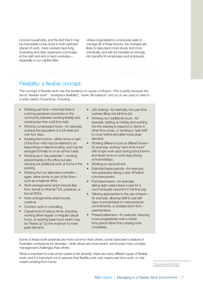at the start and end of each workday income households, and the fact that it may be impossible to live close to both partners' places of work, many workers face long, frustrating and often expensive commutes especially in our capital cities.

Unless organisations consciously seek to manage all of these factors, the changes are likely to take place more slowly and more chaotically, and will not translate as strongly into benefits for employees and employers.

# Flexibility: a flexible concept

The concept of flexible work has the tendency to cause confusion. This is partly because the terms "flexible work", "workplace flexibility", "work/ life balance" and so on are used to refer to a wide variety of practices, including:

- community between working flexibly and • Working part time—note that there is a strong perceived connection in the working less than a full time load.
- Working compressed hours—for example, working the equivalent of a full week but over four days.
- Working from home—either some or part of the time—this may be referred to as teleworking or telecommuting, and may be arranged formally or on an ad hoc basis.
- predominantly in the office but also • Working as a "day extender"—working carrying out additional work at home in the evening.
- Working from an alternative worksite again, either some or part of the time such as a regional office.
- Work arrangements which include flexitime, formal or informal TOIL practices, or formal RDOs.
- Work arrangements which involve overtime.
- Contract work or consulting.
- Casual work of various kinds, including working either regular or irregular casual hours, or working base hours which may be "flexed up" by the employer to meet peak demand.
- Job sharing—for example, two part time workers filling one full time job.
- Working non-traditional hours—for example, starting at midday and working into the evening to respond to clients in other time zones, or working a "split shift" to cover before and after hours peak demand.
- Working different hours at different timesfor example, working "term time hours" with longer work days during school terms and fewer hours or work days during school holidays.
- Working on secondment.
- Extended leave periods—for example, new graduates taking a year off before commencement.
- Purchased leave—for example, taking eight weeks leave a year for a commensurate reduction in full time pay.
- Tailoring approaches to the use of leavefor example, allowing staff to use half days of annual leave to meet personal commitments, or phased return from parental leave.
- Phased retirement—for example, reducing hours progressively over a certain time period rather than ceasing work completely.

Some of these work practices are more common than others: some have been a feature of Australian workplaces for decades,<sup>4</sup> while others are more recent; some pose more complex management challenges than others.

 What is important to note at the outset is the diversity: there are many different types of flexible work, and it is important not to assume that flexible work only means part time work, or only means working from home.

4. For example, shift work in<br>professions such as nursing.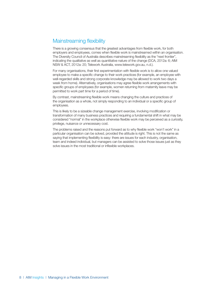# Mainstreaming flexibility

There is a growing consensus that the greatest advantages from flexible work, for both employers and employees, comes when flexible work is mainstreamed within an organisation. The Diversity Council of Australia describes mainstreaming flexibility as the "next frontier", indicating the qualitative as well as quantitative nature of the change (DCA, 2012a: 6; AIM NSW & ACT, 2012a: 20; Telework Australia, www.telework.gov.au, n.d.).

For many organisations, their first experimentation with flexible work is to allow one valued employee to make a specific change to their work practices (for example, an employee with well-regarded skills and strong corporate knowledge may be allowed to work two days a week from home). Alternatively, organisations may agree flexible work arrangements with specific groups of employees (for example, women returning from maternity leave may be permitted to work part time for a period of time).

 the organisation as a whole, not simply responding to an individual or a specific group of By contrast, mainstreaming flexible work means changing the culture and practices of employees.

 This is likely to be a sizeable change management exercise, involving modification or transformation of many business practices and requiring a fundamental shift in what may be considered "normal" in the workplace otherwise flexible work may be perceived as a curiosity, privilege, nuisance or unnecessary cost.

The problems raised and the reasons put forward as to why flexible work "won't work" in a particular organisation can be solved, provided the attitude is right. This is not the same as saying that implementing flexibility is easy: there are issues for each industry, organisation, team and indeed individual, but managers can be assisted to solve those issues just as they solve issues in the most traditional or inflexible workplaces.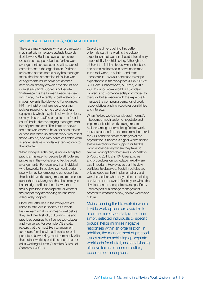## **WORKPLACE ATTITUDES, SOCIAL ATTITUDES**

 executives may perceive that flexible work fearful that implementation of flexible work those who do, and may perceive flexible work There are many reasons why an organisation may start with a negative attitude towards flexible work. Business owners or senior arrangements are associated with a lack of commitment to the organisation. Perhaps resistance comes from a busy line manager, arrangements will become yet another item on an already crowded "to do" list and in an already tight budget. Another vital "gatekeeper" is the Human Resources team, which may inadvertently or deliberately block moves towards flexible work. For example, HR may insist on adherence to existing policies regarding home use of business equipment, which may limit telework options, or may allocate staff to projects on a "head count" basis, disadvantaging managers with lots of part time staff. The literature shows, too, that workers who have not been offered, or have not taken up, flexible work may resent arrangements as a privilege extended only to the lucky few.

 problems in the workplace to flexible work When workplace flexibility is not an accepted practice, it is easy for people to attribute any arrangements. For example, if an individual who teleworks three days per week performs poorly, it may be tempting to conclude that their flexible work arrangements are the issue, rather than analysing whether the employee has the right skills for the role, whether their supervision is appropriate, or whether the project they are working on has been adequately scoped.

Of course, attitudes in the workplace are linked to attitudes in society as a whole. People learn what work means well before they land their first job; cultural norms and practices continue to influence workplaces, and vice versa. For example, ABS data reveals that the most likely arrangement for couple families with children is for both parents to be working, most commonly with the mother working part time and the other adult working full time (Australian Bureau of Statistics, 2009: 1).

One of the drivers behind this pattern of female part time work is the cultural expectation that women should take primary responsibility for childrearing. Although the cliché of the full time bread-winner husband and home-maker wife is now uncommon in the real world, in subtle—and often unconscious—ways it continues to shape expectations in the workplace (DCA, 2012a: 8-9; Baird, Charlesworth, & Heron, 2010: 7-8). In our complex world, a truly 'ideal worker' is not someone solely committed to their job, but someone with the expertise to manage the competing demands of work responsibilities and non-work responsibilities and interests.

 Mainstreaming or normalising flexible work staff are explicit in their support for flexible and procedures on workplace flexibility are development of such policies are specifically When flexible work is considered "normal", it becomes much easier to negotiate and implement flexible work arrangements. requires support from the top: from the board, the CEO and the senior managers of the organisation. Success is higher where senior work, and especially where they take up flexible work options themselves (McMahon & Pocock, 2011: 2 & 10). Clear policies also important. However, as our interview participants observed, flexibility policies are only as good as their implementation, and work best either when they reflect an existing positive attitude towards flexibility, or when the used as part of a change management process to establish a new, flexible workplace culture.

 simply selected individuals or specific Mainstreaming flexible work (ie where flexible work options are available to all or the majority of staff, rather than groups) helps minimise negative responses within an organisation. In addition, the management of practical issues such as achieving appropriate workloads for all staff, and establishing effective forms of communication, becomes commonplace.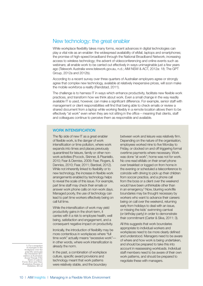# New technology: the great enabler

While workplace flexibility takes many forms, recent advances in digital technologies can play a vital role as an enabler: the widespread availability of eMail, laptops and smartphones; the promise of high-speed broadband through the National Broadband Network; increasing access to wireless technology; the advent of videoconferencing and online events such as webinars; all enable work to be carried out effectively in ways unimaginable just a few years ago (Telework Australia www.telework.gov.au, n.d.; AIM NSW & ACT, 2012a: 18; The GPT Group, 2012a and 2012b).

According to a recent survey over three quarters of Australian employers agree or strongly agree that complex new technology, available at relatively inexpensive prices, will soon make the mobile workforce a reality (Randstad, 2011).

 The challenge is to harness IT in ways which enhance productivity, facilitate new flexible work practices, and transform how we think about work. Even a small change in the way readily available IT is used, however, can make a significant difference. For example, senior staff with management or client responsibilities will find that being able to check emails or review a shared document from a laptop while working flexibly in a remote location allows them to be effectively "at work" even when they are not sitting in the office – meaning that clients, staff and colleagues continue to perceive them as responsible and available.

## **WORK INTENSIFICATION**

While not inherently linked to flexibility or to new technology, the increase in flexible work coincide with driving to pick up their children The flip side of new IT as a great enabler between work and leisure was relatively firm. of flexible work, is the danger of work Depending on the nature of the organisation, intensification or time pollution, where work employees worked nine to five Monday to expands into times and places previously Friday, or clocked on and off triggering formal quarantined for leisure, family or other non- overtime payments where necessary. Work work activities (Pocock, Skinner, & Pisaniello, was done "at work"; home was not for work. 2010; Fear & Denniss, 2009; Fear, Rogers, & No one read eMails on their smart phone Denniss, 2010; Fear, 2011; Bardoel, 2012). over breakfast or logged on from home in arrangements enabled by technology helps from soccer practice, and a phone call to reveal the scale of this issue. For example, from the boss or a client over the weekend part time staff may check their emails or would have been unthinkable other than answer work phone calls on non-work days. Managed poorly, the use of technology can boundaries may be thought necessary by lead to part time workers effectively being on workers who want to advance their careers: call full time. being on call over the weekend, returning

While the intensification of work may yield<br>productivity gains in the short-term, it<br>carries with it a risk to employee health, well (or birthday party) in order to demonstrate<br>being, satisfaction and engagement, and a<br>bei consequent negative impact on productivity. All this suggests that work boundaries

in other words, where work intensification is

5. For a snapshot of changes in the workplace over the past fifty years see the December 2011 edition of *Australian Social Trends: Fifty Years of Labour Force: Now and Then*  (Australian Bureau of Statistics, 2011a)

technology meant that work patterns negotiate these with managers. were relatively stable, and the boundary

the evening or scheduled a teleconference to in an emergency.<sup>5</sup> Now, blurring work/life

workplaces need to be more clearly defined Ironically, the introduction of flexibility may be<br>
more contentious in workplaces where "full<br>
time work" actually means "excessive work"—<br>
in other words, where work intensification is<br>
already the norm.<br>
already the nor In the past, a combination of workplace staff members need to be aware of their own culture, specific award provisions and work patterns, and should be prepared to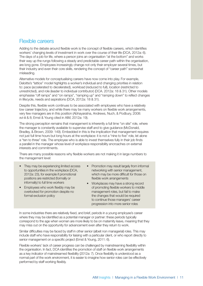# Flexible careers

 Adding to the debate around flexible work is the concept of flexible careers, which identifies workers' changing levels of investment in work over the course of their life (DCA, 2012a: 6). The days of a job for life, where a person joins an organisation "at the bottom" and works their way up the rungs following a steady and predictable career path within the organisation, are long gone. Employees increasingly change not only their employer several times, but their industry and even their core skills, rendering the concept of "career path" somewhat misleading.

Alternative models for conceptualising careers have now come into play. For example, Deloitte's "lattice" model highlights a worker's individual and changing priorities in relation to: pace (accelerated to decelerated), workload (reduced to full), location (restricted to unrestricted), and role (leader to individual contributor) (DCA. 2012a: 18 & 31). Other models emphasise "off ramps" and "on ramps", "ramping up" and "ramping down" to reflect changes in lifecycle, needs and aspirations (DCA, 2012a: 18 & 31).

Despite this, flexible work continues to be associated with employees who have a relatively low career trajectory, and while there may be many workers on flexible work arrangements, very few managers are in this position (Abhayaratna, Andrews, Nuch, & Podbury, 2008: xvi-iii & 8; Ernst & Young cited in AIM, 2012a: 19).

 a "ten to three" role. The employee who is able to invest themselves fully in their job finds The strong perception remains that management is inherently a full time "on site" role, where the manager is constantly available to supervise staff and to give guidance (McDonald, Bradley, & Brown, 2009: 149). Embedded in this is the implication that management requires not just full time hours but long hours at the workplace: it is not a "nine to five" role, let alone a parallel in the manager whose level of workplace responsibility encroaches on external interests and commitments.

There are many possible reasons why flexible workers are not making it in large numbers to the management level:

- to opportunities in the workplace (DCA, networking with senior management, positions are restricted (formally or flexible work arrangements informally) to full time workers • Norkplaces may have a strong record
- 
- They may be experiencing limited access Promotion may result largely from informal 2012a: 23), for example if promotional which may be more difficult for those on
- Employees who work flexibly may be of promoting flexible workers to middle overlooked for promotion despite no management roles, but fail to make formal exclusion policy the changes that would be required to continue those managers' career progression into more senior roles

In some industries there are relatively fixed, and brief, periods in a young employee's career where they may be identified as a potential manager or partner: these periods typically correspond to the age when women are more likely to be on maternity leave, meaning that they may miss out on the opportunity for advancement even after they return to work.

Similar difficulties may be faced by staff in other senior (albeit non managerial) roles. This may include staff who have responsibility for liaising with a particular client, or who report directly to senior management on a specific project (Ernst & Young, 2011: 6).

Flexible workers' lack of career progress can be challenged by mainstreaming flexibility within the organisation. In fact, DCA identifies the promotion of staff on flexible work arrangements as a key indicator of mainstreamed flexibility (2012a: 7). Once flexibility is understood as a normal part of the work environment, it is easier to imagine how senior roles can be effectively performed by staff working flexibly.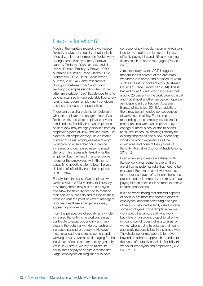# Flexibility for whom?

 of quality, of jobs performed on flexible work Much of the literature regarding workplace flexibility analyses the quality, or rather lack arrangements (Abhayaratna, Andrews, Nuch, & Podbury, 2008: xxi, xxiv, xxvii-iii, xvii; McDonald, Bradley, & Brown, 2009; Australian Council of Trade Unions, 2012; Richardson, 2012; Baird, Charlesworth, & Heron, 2010: 4). Some researchers distinguish between "bad" and "good" flexible jobs, emphasising how few of the latter are available: "bad" flexible jobs tend to be characterised by unpredictable hours, low rates of pay, poorer employment conditions and lack of access to opportunities.

 definition of inflexibility from the employee's There can be a sharp distinction between what an employer or manager thinks of as flexible work, and what employees have in mind. Indeed, flexibility from an employer's point of view may be highly inflexible from an employee's point of view, and vice versa. For example, an employer may use a sizeable number of casual employees as a "swing" workforce, to ensure that hours can be increased and decreased easily to match demand. This represents flexibility for the employer, but may result in unpredictable hours for the employees, with little or no capacity to negotiate alternatives: the very point of view.

Equally, take the case of an employee who works 9 AM to 3 PM Monday to Thursday: this arrangement may suit the employee and allow the flexibility needed to manage their non-work interests and responsibilities; however from the point of view of managers or colleagues these arrangements may appear highly inflexible.

From the perspective of society as a whole, increased flexibility in the workplace may contribute to equal opportunity and may expand the potential workforce, leading to increased national productivity. However, it can also lead to underemployment and working poverty, which are damaging for the individuals affected and for society generally. While, in Australia, we rely on minimum hourly rates of pay to ensure a reasonable wage, employees on irregular hours have

correspondingly irregular income, which can lead to the inability to plan for the future, difficulty paying bills and difficulty securing finance such as home mortgages (Pocock, 2012).

 engage numerous casual staff to backfill roles, simultaneously creating flexibility for A recent inquiry by the ACTU suggests that around 28 percent of the Australian workforce is in some kind of "insecure work" such as casual or contract work (Australian Council of Trade Unions, 2012: 14). This is backed by ABS data, which indicates that around 20 percent of the workforce is casual, and that almost another ten percent operate as independent contractors (Australian Bureau of Statistics, 2011b). In addition, there may be unintended consequences of workplace flexibility. For example, in responding to their employees' desire for more part time work, an employer may existing employees and a new, secondary workforce which experiences all the downsides and none of the upsides of flexibility (Australian Council of Trade Unions, 2012: 5).

 Even when employees are satisfied with flexible work arrangements overall, there are still some potential risks that need to be managed. For example, teleworkers may face increased levels of isolation, stress and pressure on their home life, and may end up paying hidden costs such as more expensive internet connections.

 some employees. For example, a flexible the types of mutually beneficial flexibility that It is also worth noting that different aspects of flexibility are more important to different employees, and that prioritising one type of flexibility may inadvertently disadvantage work policy that allows staff who work back late on an urgent project to take the following day off does nothing to assist a worker who is trying to balance their work and family responsibilities in a planned way. The challenge for managers is to move beyond an either/or approach to understand works for employers and employees (DCA, 2012a: 10).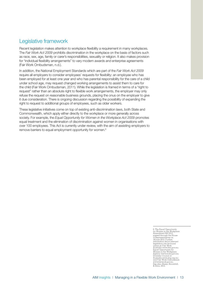# Legislative framework

Recent legislation makes attention to workplace flexibility a requirement in many workplaces. The *Fair Work Act 2009* prohibits discrimination in the workplace on the basis of factors such as race, sex, age, family or carer's responsibilities, sexuality or religion. It also makes provision for "individual flexibility arrangements" to vary modern awards and enterprise agreements (Fair Work Ombudsman, n.d.).

In addition, the National Employment Standards which are part of the *Fair Work Act 2009*  require all employers to consider employees' requests for flexibility: an employee who has been employed for at least one year and who has parental responsibility for the care of a child under school age, may request changed working arrangements to assist them to care for the child (Fair Work Ombudsman, 2011). While the legislation is framed in terms of a "right to request" rather than an absolute right to flexible work arrangements, the employer may only refuse the request on reasonable business grounds, placing the onus on the employer to give it due consideration. There is ongoing discussion regarding the possibility of expanding the right to request to additional groups of employees, such as older workers.

These legislative initiatives come on top of existing anti-discrimination laws, both State and Commonwealth, which apply either directly to the workplace or more generally across society. For example, the *Equal Opportunity for Women in the Workplace Act 2009* promotes equal treatment and the elimination of discrimination against women in organisations with over 100 employees. This Act is currently under review, with the aim of assisting employers to remove barriers to equal employment opportunity for women.6

<sup>6.</sup> *The Equal Opportunity for Women in the Workplace Amendment Bill 2012*  passed through the House of Representatives on 18 June 2012. Further information about relevant legislation can be found online at: Fair Work Australia www.fwa.gov.au; Equal Opportunity for Women in the Workplace Agency www.eowa.gov.au; Diversity Council of Australia www.dcg.org.au; and Fair Work Ombudsman www.fairwork.gov.au. See also: Sharp, Broomhill, & Elton, 2012.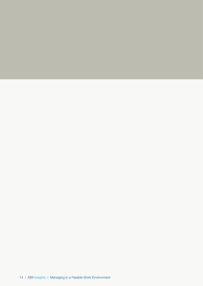14 | AIM Insights | Managing in a Flexible Work Environment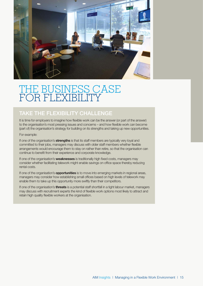

# BUSINESS CASE FOR FLEX

# **TAKE THE FLEXIBILITY CHALLENGE**

It is time for employers to imagine how flexible work can be the answer (or part of the answer) to the organisation's most pressing issues and concerns – and how flexible work can become (part of) the organisation's strategy for building on its strengths and taking up new opportunities.

### For example:

 committed to their jobs, managers may discuss with older staff members whether flexible If one of the organisation's **strengths** is that its staff members are typically very loyal and arrangements would encourage them to stay on rather than retire, so that the organisation can continue to benefit from their experience and corporate knowledge.

If one of the organisation's **weaknesses** is traditionally high fixed costs, managers may consider whether facilitating telework might enable savings on office space thereby reducing rental costs.

If one of the organisation's **opportunities** is to move into emerging markets in regional areas, managers may consider how establishing small offices based on high levels of telework may enable them to take up this opportunity more swiftly than their competitors.

If one of the organisation's **threats** is a potential staff shortfall in a tight labour market, managers may discuss with recruitment experts the kind of flexible work options most likely to attract and retain high quality flexible workers at the organisation.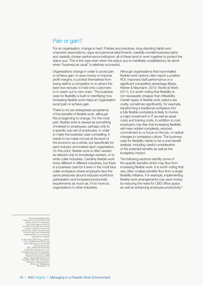# Pain or gain?

For an organisation, change is hard. Policies and practices, long-standing habits and unspoken assumptions, egos and personal attachments, carefully worded business plans and carefully chosen performance indicators: all of these tend to work together to protect the status quo. This is the case even when the status quo is manifestly unsatisfactory, let alone when "business as usual" is relatively successful.

Organisations change in order to avoid pain or achieve gain: to save money or improve profit margins; to protect themselves from losing staff to a competitor or to attract the best new recruits; to hold onto customers or to reach out to new ones.<sup>7</sup> The business case for flexibility is built on identifying how increasing flexible work helps an organisation avoid pain or achieve gain.

 of the benefits of flexible work, although the economy as a whole, but specifically for white collar industries. Certainly flexible work There is not yet widespread acceptance this is beginning to change. For the most part, flexible work is viewed as something of interest to employees, perhaps only to a specific sub-set of employees. In order to make the business case compelling, it needs to be made not just at the level of each industry and indeed each organisation. On this point, flexible work is often viewed as relevant only to knowledge workers, or to looks different in different industries, but there is a business case for it even in the most blue collar workplace where employers face the same pressures around reduced workforce participation and increased productivity requirements as much as, if not more so, organisations in other industries.

 2011), it is worth noting that flexibility is not necessarily cheaper than inflexibility. employers may fear that increasing flexibility case for flexibility needs to be a cost benefit Although organisations that have trialled flexible work options often report a positive ROI, improved staff performance or a significant competitive advantage (Barta, Kleiner & Neumann, 2012; World at Work, Certain types of flexible work options are costly, sometimes significantly: for example, transforming a traditional workplace into a fully flexible workplace is likely to involve a major investment in IT as well as asset costs and training costs. In addition to cost, will mean added complexity, reduced commitment to or focus on the job, or radical changes to workplace culture. The business analysis, including careful consideration of the potential benefits as well as the budgetary impact.

 the specific benefits which may flow from very often multiple benefits flow from a single by reducing the need for CBD office space The following sections identify some of increasing flexible work. It is worth noting that flexibility initiative. For example, implementing flexible work arrangements may save money as well as enhancing employee productivity.<sup>8</sup>

7. Some businesses also respond to a third driver: the public good. For example, the society as a whole benefits to society as a whole as part of triple bottom line reporting, other commitments to social and environmental sustainability, or to manage reputational issues. 8. See: The GPT Group, 2012b: 3, 9, 15; McMahon & Pocock, 2011; Macquarie University www.mq.edu.au, 2012; Telework Australia www.telework.gov.au, n.d.; Diversity Council of Australia, 2010; Equality and Human Rights Commission, 2009; Heron, 2010; Schumacher & Poehler, 2009: 169; Australian Institute of Management, 2012a: 20; Workplace Flexibility n.d.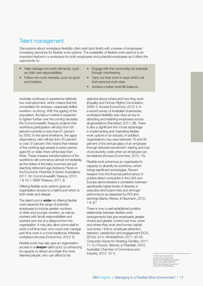# Talent management

Discussions about workplace flexibility often start (and finish) with a review of employees' increasing demands for flexible work options. The availability of flexible work options is an important feature in a workplace for both employees and potential employees as it offers the opportunity to:

- as child care responsibilities. through volunteering.
- and hobbies. Their personal work style.
- Help manage non-work demands, such Engage with the community, for example
	- Follow non-work interests, such as sport Carry out their work in ways which suit
		- Achieve a better work/life balance.

Australia continues to experience relatively low unemployment, which means that the competition for workers—especially skilled workers—is strong. With the ageing of the population, the labour market is expected to tighten further over the coming decades: the Commonwealth Treasury projects that workforce participation will drop from 65 percent currently to less than 61 percent by 2050. In the same timeframe, the aged dependency ratio will rise from 20 percent to over 37 percent: this means that instead of five working age people to every person aged 65 or older, there will be less than three. These massive transformations of the workforce will commence almost immediately, as the oldest of the baby boomers are just reaching retirement age (Advisory Panel on the Economic Potential of Senior Australians, 2011: 24; Commonwealth Treasury, 2010: 1 & 10-1; NSW Treasury, 2011: ii).

Offering flexible work options gives an organisation access to a talent pool which is both wider and deeper.

 The talent pool is **wider** as offering flexible part time work in a more traditional, inflexible work expands the range of potential employees to include greater numbers of older and younger workers, as well as workers with family responsibilities and workers who live at a distance from the organisation. It may also allow some staff to work a full time load, who could only manage workplace (Access Economics, 2010: 5).

Flexible work may also give an organisation access to a **deeper** talent pool, by enhancing its capacity to attract and retain the most talented people, who can afford to be

 is also a significant first mover advantage in implementing and marketing flexible selective about where and how they work (Equality and Human Rights Commission, 2009: 5; Access Economics, 2010: i). In a recent survey of Australian businesses, workplace flexibility was cited as key to attracting and retaining employees across all generations (Randstad, 2011: 38). There work options in an industry. In addition, organisations may save between 15 and 33 percent of the annual salary of an employee through reduced recruitment, training and loss of productivity costs when an employee can be retained (Access Economics, 2010: 15).

Flexible work enhances an organisation's capacity to diversify its workforce, which brings significant advantages. Recent research into the financial performance of publicly listed companies in the USA and Europe demonstrated a correlation between significantly higher levels of diversity in executive and board roles and stronger performance as assessed by ROI and earnings (Barta, Kleiner, & Neumann, 2012:  $1 & 8 & 3$ ).<sup>9</sup>

 relationship between flexible work There is now a well-established positive arrangements that give employees greater choice and greater control over how, when and where they work and human capital outcomes—that is, employee attraction, retention, satisfaction and engagement (DCA, 2012a: 24-5; WorldatWork, 2011: 33-42; Corporate Voices for Working Families, 2011: 11-12; Pocock, Skinner, & Pisaniello, 2010; Australian Chamber of Commerce and Industry, 2012: 10-1).  $\frac{1}{9 \text{ See also the recent}}$ 

surveys by Corporate Voices for Working Families (2011) and WorldatWork (2011) for further discussion of the ROI of fl exibility.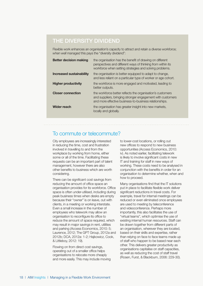# **THE DIVERSITY DIVIDEND**

Flexible work enhances an organisation's capacity to attract and retain a diverse workforce; *when well managed* this pays the "diversity dividend":

| <b>Better decision making</b>   | the organisation has the benefit of drawing on different<br>perspectives and different ways of thinking from within its<br>workforce when setting strategies and solving problems. |
|---------------------------------|------------------------------------------------------------------------------------------------------------------------------------------------------------------------------------|
| <b>Increased sustainability</b> | the organisation is better equipped to adapt to change,<br>and less reliant on a particular type of worker or age cohort.                                                          |
| <b>Higher productivity</b>      | the workforce is more engaged and motivated, leading to<br>better outputs.                                                                                                         |
| <b>Closer connection</b>        | the workforce better reflects the organisation's customers<br>and suppliers, bringing stronger engagement with customers<br>and more effective business-to-business relationships. |
| <b>Wider reach</b>              | the organisation has greater insight into new markets,<br>locally and globally.                                                                                                    |

# To commute or telecommute?

City employees are increasingly interested in reducing the time, cost and frustration involved in travelling to and from the workplace by working from home, either some or all of the time. Facilitating these requests can be an important part of talent management, however there are also other benefits to business which are worth considering.

 organisation provides for its workforce. Office organisation to reconfigure its office to There can be significant cost savings from reducing the amount of office space an space is often under-utilised, including during peak business times when desks are empty because their "owner" is on leave, out with clients, in a meeting or working interstate. Even a small increase in the number of employees who telework may allow an reduce the amount of space required, which may result in major savings in rent, utilities and parking (Access Economics, 2010: 5; Laurence, 2012; The GPT Group, 2012a and 2012b; DCA, 2012a: 1-2; Hajkowicz, Cook, & Littleboy, 2012: 19).

 operating out of a smaller office helps Flowing on from direct cost savings, organisations to relocate more cheaply and more easily. This may include moving to lower-cost locations, or rolling out new offices to respond to new business opportunities (Access Economics, 2010: iv). As noted earlier, facilitating telework is likely to involve significant costs in new IT and training for staff in new ways of working. These costs need to be analysed in conjunction with the benefits in order for an organisation to determine whether, when and how to proceed.

Many organisations find that the IT solutions put in place to facilitate flexible work deliver significant reductions in travel costs. For example, travel for internal meetings can be reduced or even eliminated once employees are used to meeting by teleconference and videoconference. Perhaps more importantly, this also facilitates the use of "virtual teams", which optimise the use of existing internal human resources. Staff can be drawn together from different parts of an organisation, wherever they are located, based on their skills and expertise, rather than relying on face to face teams made up of staff who happen to be based near each other. This delivers greater productivity as organisations capitalise on staff capacities, as well as reducing the cost of staff travel (Rosen, Furst, & Blackburn, 2006: 229-30).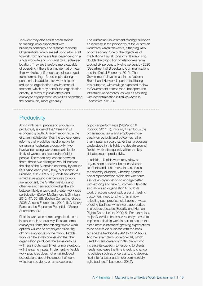employee engagement, as well as benefitting Telework may also assist organisations to manage risks associated with business continuity and disaster recovery. Organisations which are set up to allow staff to work from home are less dependent on a single worksite and on travel to a centralised location. They are therefore more capable of operating if there is an incident at or near their worksite, or if people are discouraged from commuting—for example, during a pandemic. In addition, telework helps to reduce an organisation's environmental footprint, which may benefit the organisation directly, in terms of public affairs and the community more generally.

 this outcome, with savings expected to flow The Australian Government strongly supports an increase in the proportion of the Australian workforce which teleworks, either regularly or occasionally. One of the objectives of the National Digital Economy Strategy is to double the proportion of teleworkers from around six percent to twelve percent by 2020 (Department of Broadband Communications and the Digital Economy, 2012). The Government's investment in the National Broadband Network is part of facilitating to Government across road, transport and infrastructure portfolios, as well as assisting with decentralisation initiatives (Access Economics, 2010: i).

# **Productivity**

Along with participation and population, productivity is one of the "three Ps" of economic growth. A recent report from the Grattan Institute identifies the top economic reforms that would be most effective for enhancing Australia's productivity: two involve increasing workforce participation, firstly of women and secondly of older people. The report argues that between them, these two strategies would increase the size of the Australian economy by around \$50 billion each year (Daley, McGannon, & Ginnivan, 2012: 38 & 50). While tax reforms aimed at removing disincentives to work are important, the Grattan Institute and other researchers acknowledge the link between flexible work and greater workforce participation (Daley, McGannon, & Ginnivan, 2012: 47, 55, 58; Boston Consulting Group, 2006; Access Economics, 2010: iii; Advisory Panel on the Economic Potential of Senior Australians, 2011).

 employers' fears that offering flexible work off" or losing focus on their work, flexible with the same inputs. Implementing flexible Flexible work also assists organisations to increase their productivity. Despite some options will lead to employees "slacking work can be a way of ensuring that the organisation produces the same outputs with less inputs (staff time), or more outputs work practices does not entail reduced expectations about the amount of work which can be done, or an acceptance

of poorer performance (McMahon & Pocock, 2011: 7). Instead, it can focus the organisation, team and employee more clearly on outputs and outcomes rather than inputs, on goals rather than processes. Understood in this light, the debate around flexible work sits squarely within the key debate around productivity.

In addition, flexible work may allow an organisation to deliver better services to its clients and customers. In part, this is the diversity dividend, whereby broader social representation within the workforce assists an organisation to engage better with existing and new customers. Flexibility also allows an organisation to build its work practices specifically around meeting customers' needs, rather than simply reflecting past practice, old habits or ways of doing business which were appropriate in previous decades (Equality and Human Rights Commission, 2009: 5). For example, a major Australian bank has recently moved to implement flexible work in part to ensure that it can meet customers' growing expectations to be able to do business with the bank outside the traditional 9 AM to 4 PM hours. Another example is Vodafone UK, which used its transformation to flexible work to increase its capacity to respond to clients' needs, decrease the time it took to change its policies such as price plans, and develop itself into "a faster and more commercially agile business" (Laurence, 2012).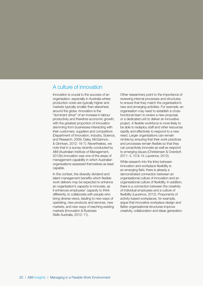# A culture of innovation

Innovation is crucial to the success of an organisation, especially in Australia where production costs are typically higher and markets typically smaller than elsewhere around the globe. Innovation is the "dominant driver" of an increase in labour productivity and therefore economic growth, with the greatest proportion of innovation stemming from businesses interacting with their customers, suppliers and competitors (Department of Innovation, Industry, Science, and Research, 2009; Daley, McGannon, & Ginnivan, 2012: 16-7). Nevertheless, we note that in a survey recently conducted by AIM (Australian Institute of Management, 2012b) innovation was one of the areas of management capability in which Australian organisations assessed themselves as least capable.

 talent management benefits which flexible In this context, the diversity dividend and work delivers may be expected to enhance an organisation's capacity to innovate, as it enhances employees' capacity to think differently, to collaborate with people who bring diverse views, leading to new ways of operating, new products and services, new markets, and new ways of reaching existing markets (Innovation & Business Skills Australia, 2010: 11).

Other researchers point to the importance of reviewing internal processes and structures to ensure that they match the organisation's new and emerging activities. For example, an organisation may need to establish a crossfunctional team to review a new proposal, or a dedicated unit to deliver an innovative project. A flexible workforce is more likely to be able to redeploy staff and other resources rapidly and effectively to respond to a new need. Larger organisations can remain nimble by ensuring that their work practices and processes remain flexible so that they can proactively innovate as well as respond to emerging issues (Christensen & Overdorf, 2011: 4, 10 & 14; Laurence, 2012).

 innovation and workplace flexibility is While research into the links between an emerging field, there is already a demonstrated connection between an organisational culture of innovation and an organisational culture of flexibility. In addition, there is a connection between the creativity of individual employees and a culture of flexibility (Laurence, 2012). Proponents of activity-based workplaces, for example, argue that innovative workplace design and flatter organisational structures improve creativity, collaboration and ideas generation.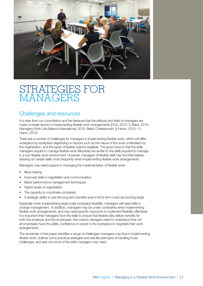

# STRATEGIES FOR MANAGERS

# Challenges and resources

It is clear from our consultation and the literature that the attitude and skills of managers are make-or-break factors in implementing flexible work arrangements (DCA, 2010: 3; Baird, 2010; Managing Work Life Balance International, 2010; Baird, Charlesworth, & Heron, 2010: 11; Heron, 2010).

There are a number of challenges for managers in implementing flexible work, which will differ workplace by workplace depending on factors such as the nature of the work undertaken by the organisation, and the types of flexible options available. The good news is that the skills managers require to manage flexible work effectively are similar to the skills required to manage in a non-flexible work environment. However, managers of flexible staff may find themselves drawing on certain skills more frequently when implementing flexible work arrangements.

Managers may need support in managing the implementation of flexible work:

- More training
- Improved skills in negotiation and communication
- Better performance management techniques
- Higher levels of organisation
- The capacity to coordinate complexity
- A strategic ability to see the long term benefits even if short term costs are looming large

 It is important that managers have the skills to ensure that flexible jobs deliver benefits for Especially when implementing large-scale workplace flexibility, managers will need skills in change management. In addition, managers may be under constraints when implementing flexible work arrangements, and may need specific resources to implement flexibility effectively. both the employer and the employees: this means managers need to understand that not all employees have the ability, confidence or power in the workplace to negotiate their work arrangements.

The remainder of this paper identifies a range of challenges managers may face in implementing flexible work, outlines some practical strategies and real-life examples of handling those challenges, and sets out some of the skills managers may need.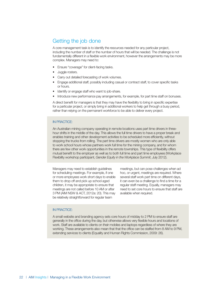# Getting the job done

A core management task is to identify the resources needed for any particular project, including the number of staff or the number of hours that will be needed. The challenge is not fundamentally different in a flexible work environment, however the arrangements may be more complex. Managers may need to:

- Ensure "coverage" for client-facing tasks.
- Juggle rosters.
- Carry out detailed forecasting of work volumes.
- Engage additional staff, possibly including casual or contract staff, to cover specific tasks or hours.
- Identify or engage staff who want to job-share.
- Introduce new performance pay arrangements, for example, for part time staff on bonuses.

 A direct benefit for managers is that they may have the flexibility to bring in specific expertise for a particular project, or simply bring in additional workers to help get through a busy period, rather than relying on the permanent workforce to be able to deliver every project.

#### IN PRACTICE:

An Australian mining company operating in remote locations uses part time drivers in threehour shifts in the middle of the day. This allows the full time drivers to have a proper break and enables training and other development activities to be scheduled more efficiently, without stopping the trucks from rolling. The part time drivers are mostly women who are only able to work school hours whose partners work full time for the mining company, and for whom there are few other work opportunities in the remote townships. This type of flexibility offers mutual benefit to the employer as well as to both full time and part time employees (Workplace Flexibility workshop participant, *Gender Equity in the Workplace Summit*, July 2012).

Managers may need to establish guidelines meetings, but can pose challenges when ad<br>for scheduling meetings. For example, if one hoc, or urgent, meetings are required. Where or more employees work short days to enable them to drop off and pick up school aged it can even be a challenge to find a time for a children, it may be appropriate to ensure that regular staff meeting. Equally, managers may meetings are not called before 10 AM or after need to set core hours to ensure that staff are 3 PM (AIM NSW & ACT, 2012a: 20). This may available when required. be relatively straightforward for regular team

hoc, or urgent, meetings are required. Where<br>several staff work part time on different days.

### IN PRACTICE:

A small website and branding agency sets core hours of midday to 2 PM to ensure staff are generally in the office during the day, but otherwise allows very flexible hours and locations of work. Staff are available to clients on their mobiles and laptops regardless of where they are working. These arrangements also mean that that the office can be staffed from 8 AM to 9 PM, extending services to clients (Equality and Human Rights Commission, 2009: 26).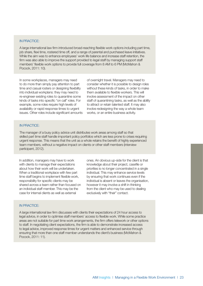#### IN PRACTICE:

A large international law firm introduced broad-reaching flexible work options including part time, job share, flexi time, rostered time off, and a range of parental and purchased leave initiatives. While the aim was to enhance employees' work life balance and increase staff retention, the firm was also able to improve the support provided to legal staff by managing support staff members' flexible work options to provide full coverage from 8 AM to 6 PM (McMahon & Pocock, 2011: 10).

 time and casual rosters or designing flexibility In some workplaces, managers may need to do more than simply pay attention to part into individual workplans: they may need to re-engineer existing roles to quarantine some kinds of tasks into specific "on call" roles. For example, some roles require high levels of availability or rapid response times to urgent issues. Other roles include significant amounts of overnight travel. Managers may need to consider whether it is possible to design roles without these kinds of tasks, in order to make them available to flexible workers. This will involve assessment of the impact on other staff of quarantining tasks, as well as the ability to attract or retain talented staff. It may also involve redesigning the way a whole team works, or an entire business activity.

### IN PRACTICE:

The manager of a busy policy advice unit distributes work areas among staff so that skilled part time staff handle important policy portfolios which are less prone to crises requiring urgent response. This means that the unit as a whole retains the benefit of highly experienced team members, without a negative impact on clients or other staff members (interview participant, 2012).

 time staff begins to implement flexible work, In addition, managers may have to work with clients to manage their expectations about how their work will be undertaken. When a traditional workplace with few part responsibility for specific clients may be shared across a team rather than focused on an individual staff member. This may be the case for internal clients as well as external

 knowledge about their project, casefile or ones. An obvious up-side for the client is that priorities is no longer concentrated in a single individual. This may enhance service levels by ensuring that work continues even if the individual is absent or leaves the organisation, however it may involve a shift in thinking from the client who may be used to dealing exclusively with "their" contact.

#### IN PRACTICE:

A large international law firm discusses with clients their expectations of 24 hour access to legal advice, in order to optimise staff members' access to flexible work. While some practice areas are not suitable for part time work arrangements, the firm offers telework or other options to staff. In negotiating client expectations, the firm is able to demonstrate increased access to legal advice, improved response times for urgent matters and enhanced service through ensuring that more than one staff member understands the client's business (McMahon & Pocock, 2011: 11).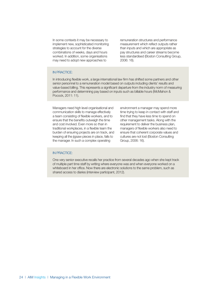may need to adopt new approaches to 2006: 16).

In some contexts it may be necessary to remuneration structures and performance implement new, sophisticated monitoring measurement which reflect outputs rather strategies to account for the diverse than inputs and which are appropriate as combinations of weeks, days and hours pay structures and career streams become worked. In addition, some organisations less standardised (Boston Consulting Group,

### IN PRACTICE:

In introducing flexible work, a large international law firm has shifted some partners and other senior personnel to a remuneration model based on outputs including clients' results and value-based billing. This represents a significant departure from the industry norm of measuring performance and determining pay based on inputs such as billable hours (McMahon & Pocock, 2011: 11).

Managers need high level organisational and environment a manager may spend more communication skills to manage effectively time trying to keep in contact with staff and a team consisting of flexible workers, and to find that they have less time to spend on ensure that the benefits outweigh the time other management tasks. Along with the and cost involved. Even more so than in requirement to deliver the business plan, traditional workplaces, in a flexible team the managers of flexible workers also need to burden of ensuring projects are on track, and ensure that coherent corporate values and keeping all the jigsaw pieces in place, falls to cultures are not lost (Boston Consulting the manager. In such a complex operating Group, 2006: 16).

### IN PRACTICE:

 shared access to diaries (interview participant, 2012). One very senior executive recalls her practice from several decades ago when she kept track of multiple part time staff by writing where everyone was and when everyone worked on a whiteboard in her office. Now there are electronic solutions to the same problem, such as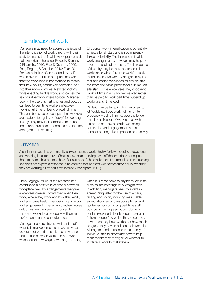# Intensification of work

Managers may need to address the issue of the intensification of work directly with their staff, to ensure that flexible work practices do not exacerbate the issue (Pocock, Skinner, & Pisaniello, 2010; Fear & Denniss, 2009; Fear, Rogers, & Denniss, 2010; Fear, 2011). For example, it is often reported by staff who move from full time to part time work that their workload is not reduced to match their new hours, or that work activities leak into their non-work time. New technology, while enabling flexible work, also carries the risk of further work intensification. Managed poorly, the use of smart phones and laptops can lead to part time workers effectively working full time, or being on call full time. This can be exacerbated if part time workers are made to feel guilty or "lucky" for working flexibly: they may feel compelled to make themselves available, to demonstrate that the arrangement is working.

 linked to flexibility. The increase in flexible means excessive work. Managers may find that addressing workloads for flexible staff Of course, work intensification is potentially an issue for all staff, and is not inherently work arrangements, however, may help to reveal the scale of the issue. The introduction of flexibility may be more contentious in workplaces where "full time work" actually facilitates the same process for full time, on site staff. Some employees may choose to work full time in a highly flexible way, rather than be paid to work part time but end up working a full time load.

While it may be tempting for managers to let flexible staff overwork, with short term productivity gains in mind, over the longer term intensification of work carries with it a risk to employee health, well being, satisfaction and engagement, and a consequent negative impact on productivity.

## IN PRACTICE:

A senior manager in a community services agency works highly flexibly, including teleworking and working irregular hours. She makes a point of telling her staff that she does not expect them to match their hours to hers. For example, if she emails a staff member late in the evening she does not expect a response. She ensures that her staff work appropriate hours, whether they are working full or part time (interview participant, 2012).

 improved workplace productivity, financial Encouragingly, much of the research has established a positive relationship between workplace flexibility arrangements that give employees greater control over when they work, where they work and how they work, and employee health, well-being, satisfaction and engagement. These improved employee outcomes are then seen to convert to performance and client outcomes.

Managers need to discuss with their staff what full time work means as well as what is expected of part time staff, and how to set boundaries between work and non-work which reflect new ways of working, including when it is reasonable to say no to requests such as late meetings or overnight travel. In addition, managers need to establish agreed "etiquette" for the use of emails, texting and so on, including reasonable expectations around response times and guidelines for contacting part time staff outside of their agreed hours. Some of our interview participants report having an "internal ledger" by which they keep track of how much they have worked or how much progress they have made on their workplan. Managers need to assess the capacity of individual staff to determine how to help them monitor their "ledger" or whether to institute a more formal system.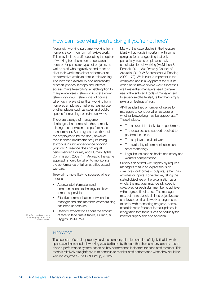# How can I see what you're doing if you're not here?

 home is a common form of flexible work. Along with working part time, working from This may include staff negotiating the option of working from home on an occasional basis or for particular types of projects, as well as staff who regularly spend most or all of their work time either at home or at an alternative worksite; that is, teleworking. The increased availability and affordability of smart phones, laptops and internet access make teleworking a viable option for many employees (Telework Australia www. telework.gov.au). Telework is, of course, taken up in ways other than working from home as employees make increasing use of other places such as cafes and public spaces for meetings or individual work.

 the performance of full time, office based There are a range of management challenges that come with this, primarily relating to supervision and performance measurement. Some types of work require the employee to be "on site", however even in those circumstances just being at work is insufficient evidence of doing your job: "Presence does not equal performance" (Equality and Human Rights Commission, 2009: 14). Arguably, the same approach should be taken to monitoring workers.

Telework is more likely to succeed where there is:

- Appropriate information and communications technology to allow remote supervision
- **Effective communication between the** manager and staff member, where training has been undertaken
- Realistic expectations about the amount of face to face time (Staples, Hulland, & Higgins, 1999: 759).

Many of the case studies in the literature identify that trust is important, with some going as far as suggesting that only particularly trusted employees make candidates for teleworking (McMahon & Pocock, 2011: 30; Diversity Council of Australia, 2010: 3; Schumacher & Poehler, 2009: 170). While trust is important in the workplace and is a key part of the culture which helps make flexible work successful, we believe that managers need to make use of the skills and tools of management to supervise off-site staff, rather than simply relying on feelings of trust.

AIM has identified a number of issues for managers to consider when assessing whether teleworking may be appropriate.<sup>11</sup> These include:

- The nature of the tasks to be performed.
- The resources and support required to perform the tasks.
- The employee's style of work.
- The availability of communications and other technology.
- Legal issues such as health and safety and workers compensation.

 whole, the manager may identify specific Supervision of staff working flexibly requires managers to take an explicit focus on objectives, outcomes or outputs, rather than activities or inputs. For example, taking the stated objectives of the organisation as a objectives for each staff member to achieve within agreed timeframes. The manager may set more closely defined objectives for employees on flexible work arrangements to assist with monitoring progress, or may establish more frequent formal updates, in recognition that there is less opportunity for informal supervision and appraisal.

11. AIM provides training in managing virtual and remote teams.

### IN PRACTICE:

 The success of a major property services company's implementation of highly flexible work spaces and increased teleworking was facilitated by the fact that the company already had in place a performance system based on key performance indicators for each staff member. This made it relatively straightforward to continue to monitor staff performance when they could be working anywhere (The GPT Group, 2012b).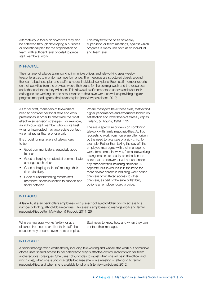Alternatively, a focus on objectives may also This may form the basis of weekly or operational plan for the organisation or progress is measured both at an individual team, with sufficient level of detail to quide and team level. staff members' work.

be achieved through developing a business supervision or team meetings, against which

### IN PRACTICE:

The manager of a large team working in multiple offices and teleworking uses weekly teleconferences to monitor team performance. The meetings are structured closely around the team's business plan and staff members' individual workplans. Each staff member reports on their activities from the previous week, their plans for the coming week and the resources and other assistance they will need. This allows all staff members to understand what their colleagues are working on and how it relates to their own work, as well as providing regular progress mapped against the business plan (interview participant, 2012).

As for all staff, managers of teleworkers need to consider personal style and work preferences in order to determine the most effective supervision strategies. For example, an individual staff member who works best when uninterrupted may appreciate contact via email rather than a phone call.

It is crucial for managers of teleworkers to be:

- Good communicators, especially good listeners
- Good at helping remote staff communicate amongst each other
- Good at helping their staff manage their time effectively
- Good at understanding remote staff members' needs in relation to support and social activities.

Where managers have these skills, staff exhibit higher performance and experience higher job satisfaction and lower levels of stress (Staples, Hulland, & Higgins, 1999: 772).

 childcare, as part of the suite of flexibility There is a spectrum of views on combining telework with family responsibilities. Ad hoc requests to work from home are often driven by the need to take care of a sick child, for example. Rather than taking the day off, the employee may agree with their manager to work from home. However, formal teleworking arrangements are usually premised on the basis that the teleworker will not undertake any other activities including childcare. A separate, but linked, issue is the need for more flexible childcare including work-based childcare or facilitated access to other options an employer could provide.

### IN PRACTICE:

A large Australian bank offers employees with pre-school aged children priority access to a number of high quality childcare centres. This assists employees to manage work and family responsibilities better (McMahon & Pocock, 2011: 26).

Where a manager works flexibly, or at a Staff need to know how and when they can distance from some or all of their staff, the contact their manager. situation may become even more complex.

#### IN PRACTICE:

 and executive colleagues. She uses colour codes to signal when she will be in the office (and A senior manager who works flexibly including teleworking and whose staff work out of multiple offices uses shared access to her calendar to stay in effective communication with her team which one); when she is uncontactable because she is in a meeting or attending to family responsibilities; and when she is available by phone (interview participant, 2012).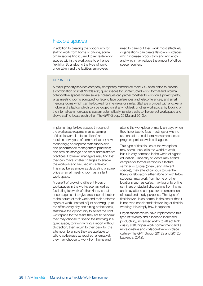# Flexible spaces

 organisations find it useful to recreate work which increase productivity and efficiency, spaces within the workplace to enhance flexibility. By analysing the type of work space required. undertaken and the facilities employees

and which may reduce the amount of office In addition to creating the opportunity for need to carry out their work most effectively, staff to work from home or off-site, some organisations can create flexible workplaces

#### IN PRACTICE:

A major property services company completely remodelled their CBD head office to provide a combination of small "hotdesks"; quiet spaces for uninterrupted work; formal and informal collaborative spaces where several colleagues can gather together to work on a project jointly; large meeting rooms equipped for face to face conferences and teleconferences; and small meeting rooms which can be booked for interviews or similar. Staff are provided with a locker, a mobile and a laptop which can be logged on at any hotdesk or other workspace; by logging on, the internal communications system automatically transfers calls to the correct workspace and allows staff to locate each other (The GPT Group, 2012a and 2012b).

 practices. However, managers may find that the workplace to be used more flexibly. Implementing flexible spaces throughout the workplace requires mainstreaming of flexible work: it affects all staff and requires new types of communication; new technology; appropriate staff supervision and performance management practices; and new file storage and other administrative they can make smaller changes to enable This may be as simple as dedicating a spare office or small meeting room as a silent work space.

A benefit of providing different types of workspaces in the workplace, as well as facilitating telework of other kinds, is that it encourages staff to give closer consideration to the nature of their work and their preferred styles of work. Instead of just showing up at the office every day and sitting at their desk, staff have the opportunity to select the right workspace for the tasks they are to perform: they may choose to spend the morning in a quiet space, to finish writing a report without distraction, then return to their desk for the afternoon to ensure they are available to talk to colleagues as required; alternatively they may choose to work from home and

attend the workplace primarily on days when they have face to face meetings or wish to use one of the collaborative workspaces to progress projects with colleagues.

 is not even considered teleworking or flexible This type of flexible use of the workplace may seem unusual in the world of work, but it is very common in the world of higher education. University students may attend campus for formal learning in a lecture, seminar or tutorial (often using different spaces); may attend campus to use the library or laboratory either alone or with fellow students; may work from home or other locations such as cafes; may log onto online seminars or student discussions from home; and may attend campus for a combination of social and study purposes. This type of flexible work is so normal in the sector that it working: it is simply how it happens.

 type of flexibility find it leads to increased Organisations which have implemented this productivity, increased ability to attract high quality staff, higher work commitment and a more creative and collaborative workplace culture (The GPT Group, 2012a and 2012b; Laurence, 2012).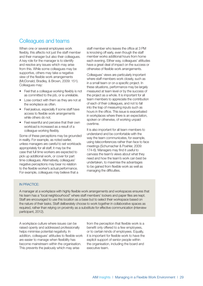# Colleagues and teams

When one or several employees work flexibly, this affects not just the staff member and their manager but also their colleagues. A key role for the manager is to identify and resolve any issues which may arise from this. While some colleagues may be supportive, others may take a negative view of the flexible work arrangements (McDonald, Bradley, & Brown, 2009: 151). Colleagues may:

- Feel that a colleague working flexibly is not as committed to the job, or is unreliable.
- Lose contact with them as they are not at the workplace as often.
- Feel jealous, especially if some staff have access to flexible work arrangements while others do not.
- Feel resentful and perceive that their own workload is increased as a result of a colleague working flexibly.

Some of these perceptions may be grounded in reality. For example, as noted earlier, unless managers are careful to set workloads appropriately for all staff, it may be the case that full time workers are expected to pick up additional work, or cover for part time colleagues. Alternatively, colleagues' negative perceptions may bear no relation to the flexible worker's actual performance. For example, colleagues may believe that a

 staff member who leaves the office at 3 PM is knocking off early, even though the staff member works additional hours from home each evening. Either way, colleagues' attitudes have a great deal of impact on the success or otherwise of flexible work arrangements.

 in a small team or on a specific project. In Colleagues' views are particularly important where staff members work closely, such as these situations, performance may be largely measured at team level or by the success of the project as a whole. It is important for all team members to appreciate the contribution of each of their colleagues, and not to fall into the trap of measuring inputs such as hours in the office. This issue is exacerbated in workplaces where there is an expectation, spoken or otherwise, of working unpaid overtime.

It is also important for all team members to understand and be comfortable with the way the team communicates, for example, using teleconferences rather than face to face meetings (Schumacher & Poehler, 2009: 174-6). Managers may find it useful to canvass the team's views about what they need and how the team's work can best be undertaken, to maximise the advantages to be gained from flexible work as well as managing the difficulties.

## IN PRACTICE:

 his team has a "local neighbourhood" where staff members' lockers and paper files are kept. A manager at a workplace with highly flexible work arrangements and workspaces ensures that Staff are encouraged to use this location as a base but to select their workspace based on the nature of their tasks. Staff deliberately choose to work together in collaborative spaces as required, rather than relying on proximity as a substitute for effective communication (interview participant, 2012).

 addition, colleagues' attitudes to flexible work are easier to manage when flexibility has A workplace culture where issues can be raised openly and addressed professionally helps minimise potential negativity. In become mainstream within the organisation. This prevents the jealously which may arise

from the perception that flexible work is a benefit only offered to a few employees, or to certain kinds of employees. Equally, it is important for flexible work to have the explicit support of senior people within the organisation, including the board and executive team.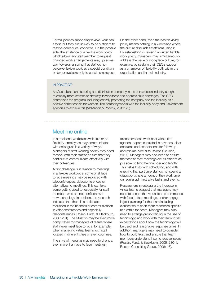assist, but they are unlikely to be sufficient to policy means nothing in a workplace where side, the existence of a flexible work policy By establishing or revising a written flexible Formal policies supporting flexible work can resolve colleagues' concerns. On the positive the culture dissuades staff from using it. which allows any staff member to request work policy, managers may simultaneously changed work arrangements may go some address the issue of workplace culture, for way towards ensuring that staff do not example, by seeking their CEO's support perceive flexible work as a special condition as a champion of flexibility both within the or favour available only to certain employees. organisation and in their industry.

On the other hand, even the best flexibility

#### IN PRACTICE:

An Australian manufacturing and distribution company in the construction industry sought to employ more women to diversify its workforce and address skills shortages. The CEO champions the program, including actively promoting the company and the industry as a positive career choice for women. The company works with the industry body and Government agencies to achieve this (McMahon & Pocock, 2011: 23).

## Meet me online

In a traditional workplace with little or no flexibility, employees may communicate with colleagues in a variety of ways. Managers of staff working flexibly may need to work with their staff to ensure that they continue to communicate effectively with their colleagues.

 members who are not confident with A first challenge is in relation to meetings: in a flexible workplace, some or all face to face meetings may be replaced with teleconferences, videoconferences or alternatives to meetings. This can take some getting used to, especially for staff new technology. In addition, the research indicates that there is a noticeable reduction in the richness of communication in videoconferences and especially teleconferences (Rosen, Furst, & Blackburn, 2006: 231). The situation may be even more complicated for managers of teams where staff never meet face to face, for example, when managing virtual teams with staff located in different cities or even countries.

The style of meetings may need to change: even more than face to face meetings,

 teleconferences work best with a firm that face to face meetings are as efficient as agenda, papers circulated in advance, clear decisions and expectations for follow up, and minimal side-discussions (DeRosa, 2011). Managers may also need to ensure possible, to limit their number and length. This helps both with scheduling, and with ensuring that part time staff do not spend a disproportionate amount of their work time on regular administrative tasks and events.

 clarification of each team member's specific Researchers investigating the increase in virtual teams suggest that managers may need to ensure that virtual teams commence with face to face meetings, and/or engage in joint planning for the team including role within the team. Managers may also need to arrange group training in the use of technology, and work with their team to set expectations about how the technology will be used and reasonable response times. In addition, managers may need to consider how to build trust and ensure that team members understand how to resolve issues (Rosen, Furst, & Blackburn, 2006: 230-1; Boston Consulting Group, 2006: 16).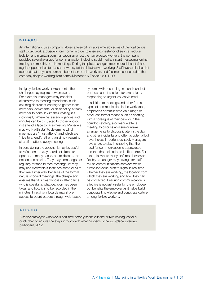### IN PRACTICE:

An international cruise company piloted a telework initiative whereby some of their call centre staff would work exclusively from home. In order to ensure consistency of service, reduce isolation and maintain communication amongst the home-based workers, the company provided several avenues for communication including social media, instant messaging, online training and monthly on-site meetings. During the pilot, managers also ensured that staff had regular opportunities to discuss how they felt the initiative was working. Staff involved in the pilot reported that they communicate better than on-site workers, and feel more connected to the company despite working from home (McMahon & Pocock, 2011: 30).

In highly flexible work environments, the challenge may require new answers. For example, managers may consider alternatives to meeting attendance, such as using document-sharing to gather team members' comments, or designating a team member to consult with their colleagues individually. Where necessary, agendas and minutes can be circulated to those who do not attend a face to face meeting. Managers may work with staff to determine which meetings are "must attend" and which are "nice to attend", rather than simply requiring all staff to attend every meeting.

In considering the options, it may be useful to reflect on the way boards of directors operate. In many cases, board directors are not located on site. They may come together regularly for face to face meetings, or they may use electronic substitutes some or all of the time. Either way, because of the formal nature of board meetings, the chairperson ensures that it is clear who is in attendance, who is speaking, what decision has been taken and how it is to be recorded in the minutes. In addition, boards may share access to board papers through web-based

systems with secure log-ins, and conduct business out of session, for example by responding to urgent issues via email.

In addition to meetings and other formal types of communication in the workplace, employees communicate via a range of other less formal means such as chatting with a colleague at their desk or in the corridor, catching a colleague after a meeting to discuss an issue or make arrangements to discuss it later in the day, and other incidental and often accidental but nevertheless important contact. Managers have a role to play in ensuring that the need for communication is appreciated, and that the tools exist to facilitate this. For example, where many staff members work flexibly a manager may arrange for staff to use communications software which allows individual staff to signal in real time whether they are working, the location from which they are working and how they can be contacted. Ensuring communication is effective is not just useful for the employee, but benefits the employer as it helps build corporate knowledge and corporate culture among flexible workers.

### IN PRACTICE:

A senior employee who works part time actively seeks out one or two colleagues for a quick chat, to ensure she stays in touch with what happens in the workplace (interview participant, 2012).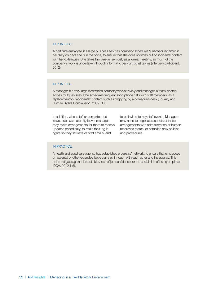### IN PRACTICE:

A part time employee in a large business services company schedules "unscheduled time" in her diary on days she is in the office, to ensure that she does not miss out on incidental contact with her colleagues. She takes this time as seriously as a formal meeting, as much of the company's work is undertaken through informal, cross-functional teams (interview participant, 2012).

### IN PRACTICE:

A manager in a very large electronics company works flexibly and manages a team located across multiples sites. She schedules frequent short phone calls with staff members, as a replacement for "accidental" contact such as dropping by a colleague's desk (Equality and Human Rights Commission, 2009: 30).

leave, such as maternity leave, managers may need to negotiate aspects of these may make arrangements for them to receive arrangements with administration or human updates periodically, to retain their log in resources teams, or establish new policies rights so they still receive staff emails, and and procedures.

In addition, when staff are on extended to be invited to key staff events. Managers

### IN PRACTICE:

A health and aged care agency has established a parents' network, to ensure that employees on parental or other extended leave can stay in touch with each other and the agency. This helps mitigate against loss of skills, loss of job confidence, or the social side of being employed (DCA, 2012d: 5).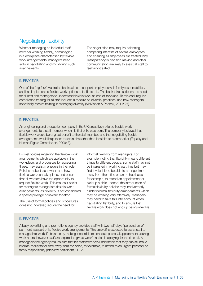# Negotiating flexibility

in a workplace characterised by flexible arrangements. The contract of the fairly-treated.

Whether managing an individual staff The negotiation may require balancing member working flexibly, or managing competing interests of several employees, and ensuring all employees are treated fairly. work arrangements, managers need Transparency in decision making and clear skills in negotiating and monitoring such communication are likely to assist all staff to

#### IN PRACTICE:

One of the "big four" Australian banks aims to support employees with family responsibilities, and has implemented flexible work options to facilitate this. The bank takes seriously the need for all staff and managers to understand flexible work as one of its values. To this end, regular compliance training for all staff includes a module on diversity practices, and new managers specifically receive training in managing diversity (McMahon & Pocock, 2011: 27).

#### IN PRACTICE:

 An engineering and production company in the UK proactively offered flexible work flexible work would be of great benefit to the staff member, and that negotiating flexible arrangements to a staff member when his first child was born. The company believed that arrangements would help them to retain him rather than lose him to a competitor (Equality and Human Rights Commission, 2009: 8).

Formal policies regarding the flexible work informal flexibility from managers. For for managers to negotiate flexible work these, may assist managers in their role. be interested in working part time but may Policies make it clear when and how find it valuable to be able to arrange time flexible work can take place, and ensure away from the office on an ad hoc basis, that all workers have the opportunity to for example, to attend an appointment or request flexible work. This makes it easier pick up a child. Indeed, the introduction of a special privilege or reward for effort. may be working very effectively. Managers

arrangements which are available in the example, noting that flexibility means different workplace, and processes for accessing things to different people, some staff may not formal flexibility policies may inadvertently arrangements, as flexibility is not considered hinder informal flexibility arrangements which The use of formal policies and procedures may need to take this into account when<br>does not, however, reduce the need for<br>flexible work does not end up being inflexible.

#### IN PRACTICE:

A busy advertising and promotions agency provides staff with two half-days "personal time" per month as part of its flexible work arrangements. This time off is expected to assist staff to manage their work life balance by making it possible to schedule personal appointments during work hours, however staff are required to give a week's notice in applying for the time off. A manager in the agency makes sure that his staff members understand that they can still make informal requests for time away from the office, for example, to attend to an urgent personal or family responsibility (interview participant, 2012).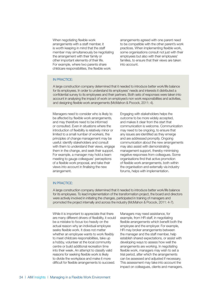When negotiating flexible work childcare responsibilities, the flexible work the arrangement with their family or employees but also with their employees' For example, where two parents share into account.

 is worth keeping in mind that the staff practices. When implementing flexible work, arrangements agreed with one parent need arrangements with a staff member, it to be compatible with the other parent's work member may simultaneously be negotiating some organisations consult not just with their other important elements of their life. families, to ensure that their views are taken

### IN PRACTICE:

A large construction company determined that it needed to introduce better work/life balance for its employees. In order to understand its employees' needs and interests it distributed a confidential survey to its employees and their partners. Both sets of responses were taken into account in analysing the impact of work on employee's non work responsibilities and activities, and designing flexible work arrangements (McMahon & Pocock, 2011: 4).

Managers need to consider who is likely to be affected by flexible work arrangements, and may therefore need to be informed or consulted. Even in situations where the introduction of flexibility is relatively minor or limited to a small number of workers, the principles of change management may be useful: identify stakeholders and consult with them to understand their views, engage them in the change, and seek their support. For example, a manager may hold a team meeting to gauge colleagues' perceptions of a flexible work proposal, and take their views into account in finalising the new arrangement.

Engaging with stakeholders helps the outcome to be more widely accepted, and makes it clear from the start that communication is welcome. Communication may need to be ongoing, to ensure that any issues are identified as they emerge and are addressed promptly. Ongoing communication about the new arrangements may also assist with demonstrating management support, thereby minimising negative responses from colleagues. Some organisations find that active promotion of flexible work arrangements, both within the organisation and externally via industry forums, helps with implementation.

#### IN PRACTICE:

A large construction company determined that it needed to introduce better work/life balance for its employees. To lead implementation of the transformation project, the board and directors were actively involved in initiating the changes, participated in training of managers and promoted the project internally and across the industry (McMahon & Pocock, 2011: 4-7).

 whether an employee wants to work flexibly difficult for flexible arrangements to succeed. While it is important to appreciate that there are many different drivers of flexibility, it would be a mistake to focus too heavily on the actual reason why an individual employee seeks flexible work. It does not matter to meet childcare responsibilities, take up a hobby, volunteer at the local community centre or build additional recreation time into their week. An attempt to classify valid reasons for seeking flexible work is likely to divide the workplace and make it more

 flexible arrangements which benefit both the Managers may need assistance, for example, from HR staff, in negotiating employee and the employer. For example, HR may broker arrangements between the manager and the staff member, help establish shared expectations, or assist with developing ways to assess how well the arrangements are working. In negotiating flexible work, managers may wish to set a trial period, after which the arrangements can be assessed and adjusted if necessary. This assessment may take into account the impact on colleagues, clients and managers.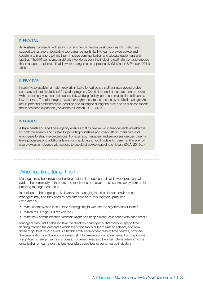### IN PRACTICE:

An Australian university with a long commitment to flexible work provides information and support to managers negotiating work arrangements. Its HR teams provide advice and coaching to managers to help them improve communication and allocate equipment and facilities. The HR teams also assist with workforce planning including staff retention and ensures that managers implement flexible work arrangements appropriately (McMahon & Pocock, 2011: 16-8).

#### IN PRACTICE:

In seeking to establish a major telework initiative for call centre staff, an international cruise company selected skilled staff for a pilot program. Criteria included at least six months service with the company, a record of successfully working flexibly, good communication skills and a low error rate. The pilot program was thoroughly researched and led by a skilled manager. As a result, potential problems were identified and managed during the pilot, and its success means that it has been expanded (McMahon & Pocock, 2011: 30-31).

### IN PRACTICE:

A large health and aged care agency ensures that its flexible work arrangements are effective for both the agency and its staff by providing guidelines and checklists for managers and employees to structure discussions. For example, managers and employees discuss parental leave processes and additional leave options during school holidays for parents. The agency also provides employees with access to specialist advice regarding childcare (DCA, 2012d: 4).

# Who has time for all this?

Managers may be forgiven for thinking that the introduction of flexible work practices will add to the complexity of their role and require them to divert precious time away from other pressing management tasks.

In addition to the ongoing tasks involved in managing in a flexible work environment, managers may find they need to dedicate time to re-thinking work practices. For example:

- What alternatives to face to face meetings might work for the organisation or team?
- Which tasks might suit teleworking?
- What new communication methods might help keep colleagues in touch with each other?

Managers may find it helpful to take the "flexibility challenge" outlined above: spend time thinking through the outcomes which the organisation or team aims to achieve, and how these might best be achieved in a flexible work environment. Where time permits, or where the organisation is embarking on a major shift to flexible work arrangements, this may involve a significant strategic planning process. However it may also be as simple as referring to the organisation or team's existing business plan, objectives or performance indicators.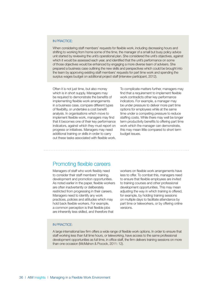#### IN PRACTICE:

When considering staff members' requests for flexible work, including decreasing hours and shifting to working from home some of the time, the manager of a small but busy policy advice unit started by reviewing the unit's operational plan. She considered the unit's objectives, against which it would be assessed each year, and identified that the unit's performance on some of those objectives would be enhanced by engaging a more diverse team of advisers. She prepared a business case outlining the new skills and perspectives which could be brought into the team by approving existing staff members' requests for part time work and spending the surplus wages budget on additional project staff (interview participant, 2012).

 be required to demonstrate the benefits of of flexibility, or undertake a cost benefit implement flexible work, managers may find out these tasks associated with flexible work. Often it is not just time, but also money which is in short supply. Managers may implementing flexible work arrangements in a business case, compare different types analysis. In organisations which move to that it becomes one of their key performance indicators, against which they must report on progress or initiatives. Managers may need additional training or skills in order to carry

 find that a requirement to implement flexible To complicate matters further, managers may work contradicts other key performance indicators. For example, a manager may be under pressure to deliver more part time options for employees while at the same time under a competing pressure to reduce staffing costs. While there may well be longer term productivity benefits to offering part time work which the manager can demonstrate, this may mean little compared to short term budget issues.

## Promoting flexible careers

Managers of staff who work flexibly need restricted from progressing in their careers. a common perception is that flexible jobs versions. to consider their staff members' training, less to offer. To combat this, managers need development and promotion opportunities. to ensure that flexible employees are invited As noted earlier in the paper, flexible workers to training courses and other professional are often inadvertently or deliberately development opportunities. This may mean Managers need to identify any work for example, by holding training sessions practices, policies and attitudes which may on multiple days to facilitate attendance by hold back flexible workers. For example, part time or teleworkers, or by offering online are inherently less skilled, and therefore that

workers on flexible work arrangements have adjusting the way in which training is offered,

#### IN PRACTICE:

A large international law firm offers a wide range of flexible work options. In order to ensure that staff working less than full time hours, or teleworking, have access to the same professional development opportunities as full time, in office staff, the firm delivers training sessions on more than one occasion (McMahon & Pocock, 2011: 12).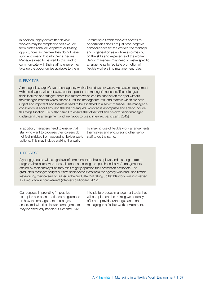In addition, highly committed flexible workers may be tempted to self-exclude from professional development or training opportunities as they feel they do not have sufficient time to fit it into their schedule. Managers need to be alert to this, and to communicate with their staff to ensure they take up the opportunities available to them.

 Senior managers may need to make specific Restricting a flexible worker's access to opportunities does not just have negative consequences for the worker: the manager and organisation as a whole also miss out on the skills and experience of the worker. arrangements to facilitate promotion of flexible workers into management roles.

## IN PRACTICE:

A manager in a large Government agency works three days per week. He has an arrangement with a colleague, who acts as a contact point in the manager's absence. The colleague fields inquiries and "triages" them into matters which can be handled on the spot without the manager; matters which can wait until the manager returns; and matters which are both urgent and important and therefore need to be escalated to a senior manager. The manager is conscientious about ensuring that his colleague's workload is appropriate and able to include this triage function. He is also careful to ensure that other staff and his own senior manager understand the arrangement and are happy to use it (interview participant, 2012).

not feel inhibited from accessing flexible work staff to do the same. staff who want to progress their careers do themselves and encouraging other senior options. This may include walking the walk,

In addition, managers need to ensure that by making use of flexible work arrangements

## IN PRACTICE:

 graduate's manager sought out two senior executives from the agency who had used flexible A young graduate with a high level of commitment to their employer and a strong desire to progress their career was uncertain about accessing the "purchased leave" arrangements offered by their employer as they felt it might jeopardise their promotion prospects. The leave during their careers to reassure the graduate that taking up flexible work was not viewed as a reduction in commitment (interview participant, 2012).

Our purpose in providing 'in practice' examples has been to offer some guidance on how the management challenges associated with flexible work arrangements may be effectively handled. Over time, AIM

intends to produce management tools that will complement the training we currently offer and provide further guidance on managing in a flexible work environment.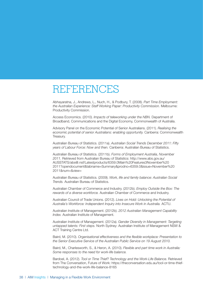# REFERENCES

Abhayaratna, J., Andrews, L., Nuch, H., & Podbury, T. (2008). *Part Time Employment: the Australian Experience: Staff Working Paper: Productivity Commission.* Melbourne: Productivity Commission.

Access Economics. (2010). *Impacts of teleworking under the NBN.* Department of Broadband, Communications and the Digital Economy, Commonwealth of Australia.

Advisory Panel on the Economic Potential of Senior Australians. (2011). *Realising the economic potential of senior Australians: enabling opportunity.* Canberra: Commonwealth Treasury.

Australian Bureau of Statistics. (2011a). *Australian Social Trends December 2011: Fifty years of Labour Force: Now and then.* Canberra: Australian Bureau of Statistics.

Australian Bureau of Statistics. (2011b). *Forms of Employment Australia, November 2011.* Retrieved from Australian Bureau of Statistics: http://www.abs.gov.au/ AUSSTATS/abs@.nsf/Latestproducts/6359.0Main%20Features3November%20 2011?opendocument&tabname=Summary&prodno=6359.0&issue=November%20 2011&num=&view=

Australian Bureau of Statistics. (2009). *Work, life and family balance: Australian Social Trends.* Australian Bureau of Statistics.

Australian Chamber of Commerce and Industry. (2012b). *Employ Outside the Box: The rewards of a diverse workforce.* Australian Chamber of Commerce and Industry.

Australian Council of Trade Unions. (2012). *Lives on Hold: Unlocking the Potential of Australia's Workforce: Independent Inquiry into Insecure Work in Australia.* ACTU.

Australian Institute of Management. (2012b). *2012 Australian Management Capability Index.* Australian Institute of Management.

Australian Institute of Management. (2012a). *Gender Diversity in Management: Targeting untapped talents: First steps.* North Sydney: Australian Institute of Management NSW & ACT Training Centre Ltd.

Baird, M. (2010). *Organisational effectiveness and the flexible workplace: Presentation to the Senior Executive Service of the Australian Public Service on 19 August 2010.* 

Baird, M., Charlesworth, S., & Heron, A. (2010). *Flexible and part time work in Australia: Some responses to the need for work-life balance.* 

Bardoel, A. (2012). *Tool or Time Thief? Technology and the Work-Life Balance*. Retrieved from The Conversation, Future of Work: https://theconversation.edu.au/tool-or-time-thieftechnology-and-the-work-life-balance-8165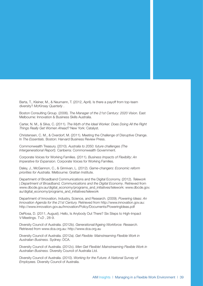Barta, T., Kleiner, M., & Neumann, T. (2012, April). Is there a payoff from top-team diversity? *McKinsey Quarterly* .

Boston Consulting Group. (2006). *The Manager of the 21st Century: 2020 Vision.* East Melbourne: Innovation & Business Skills Australia.

Carter, N. M., & Silva, C. (2011). *The Myth of the Ideal Worker: Does Doing All the Right Things Really Get Women Ahead?* New York: Catalyst.

Christensen, C. M., & Overdorf, M. (2011). Meeting the Challenge of Disruptive Change. In *The Essentials.* Boston: Harvard Business Review Press.

Commonwealth Treasury. (2010). *Australia to 2050: future challenges (The Intergenerational Report).* Canberra: Commonwealth Government.

Corporate Voices for Working Families. (2011). *Business Impacts of Flexiblity: An Imperative for Expansion.* Corporate Voices for Working Families.

Daley, J., McGannon, C., & Ginnivan, L. (2012). *Game-changers: Economic reform priorities for Australia.* Melbourne: Grattan Institute.

Department of Broadband Communications and the Digital Economy. (2012). *Telework | Department of Broadband, Communications and the Digital Economy*. Retrieved from www.dbcde.gov.au/digital\_economy/programs\_and\_initiatives/telework: www.dbcde.gov. au/digital\_economy/programs\_and\_initiatives/telework

Department of Innovation, Industry, Science, and Research. (2009). *Powering Ideas: An Innovation Agenda for the 21st Century.* Retrieved from http://www.innovation.gov.au: http://www.innovation.gov.au/Innovation/Policy/Documents/PoweringIdeas.pdf

DeRosa, D. (2011, August). Hello, Is Anybody Out There? Six Steps to High-Impact V-Meetings. *T+D* , 28-9.

Diversity Council of Australia. (2012b). *Generational/Ageing Workforce: Research.*  Retrieved from www.dca.org.au: http://www.dca.org.au

Diversity Council of Australia. (2012a). *Get Flexible: Mainstreaming Flexible Work in Australian Business.* Sydney: DCA.

Diversity Council of Australia. (2012c). *Men Get Flexible! Mainstreaming Flexible Work in Australian Business.* Diversity Council of Australia Ltd.

Diversity Council of Australia. (2010). *Working for the Future: A National Survey of Employees.* Diversity Council of Australia.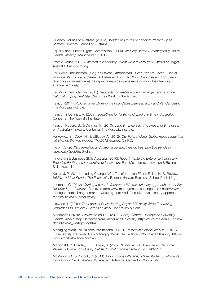Diversity Council of Australia. (2012d). *Work-Life/Flexibility: Leading Practice Case Studies.* Diversity Council of Australia.

Equality and Human Rights Commission. (2009). *Working Better: A manager's guide to Flexible Working.* Manchester: EHRC.

Ernst & Young. (2011). *Women in leadership: What will it take to get Australia on target.*  Australia: Ernst & Young.

Fair Work Ombudsman. (n.d.). *Fair Work Ombudsman - Best Practice Guide - Use of individual flexibility arrangements.* Retrieved from Fair Work Ombudsman: http://www. fairwork.gov.au/resources/best-practice-guides/pages/use-of-individual-flexibilityarrangements.aspx

Fair Work Ombudsman. (2011). *Requests for flexible working arrangements and the National Employment Standards.* Fair Work Ombudsman.

Fear, J. (2011). *Polluted time: Blurring the boundaries between work and life.* Canberra: The Australia Institute.

Fear, J., & Denniss, R. (2009). *Something for Nothing: Unpaid overtime in Australia.*  Canberra: The Australia Institute.

Fear, J., Rogers, S., & Denniss, R. (2010). *Long time, no see: The impact of time poverty on Australian workers.* Canberra: The Australia Institute.

Hajkowicz, S., Cook, H., & Littleboy, A. (2012). *Our Future World: Global megatrends that will change the way we live: The 2012 revision.* CSIRO.

Heron, A. (2010). *Internation and national perspectives on best practice trends in workplace flexibility.* Sydney.

Innovation & Business Skills Australia. (2010). *Report: Fostering Enterprise Innovation: Exploring Further the Leadership of Innovation.* East Melbourne: Innovation & Business Skills Australia.

Kotter, J. P. (2011). Leading Change: Why Transformation Efforts Fail. In H. B. Review, *HBR's 10 Must Reads: The Essentials.* Boston: Harvard Business School Publishing.

Laurence, G. (2012). *Cutting the cord: Vodafone UK's revolutionary approach to mobility, flexibility & productivity .* Retrieved from www.managementexchange.com: http://www. managementexchange.com/story/cutting-cord-vodafone-uks-revolutionary-approachmobility-flexibility-productivity

Liswood, L. (2010). *The Loudest Duck: Moving Beyond Diversity While Embracing Differences to Achieve Success at Work.* John Wiley & Sons.

Macquarie University www.mq.edu.au. (2012). *Policy Central - Macquarie University - Flexible Work Policy*. Retrieved from Macquarie University: http://www.mq.edu.au/policy/ docs/flexible\_work/policy.html

Managing Work Life Balance International. (2010). *Results of Flexible Work in 2010 - A Pulse Survey.* Retrieved from Managing Work Life Balance - Workplace Flexibility: http:// www.worklifebalance.com.au

McDonald, P., Bradley, L., & Brown, K. (2009). 'Full-time is a Given Here': Part-time Versus Full-time Job Quality. *British Journal of Management , 20*, 143-157.

McMahon, C., & Pocock, B. (2011). *Doing things differently: Case Studies of Work-Life Innovation in Six Australian Workplaces.* Adelaide: Centre for Work + Life.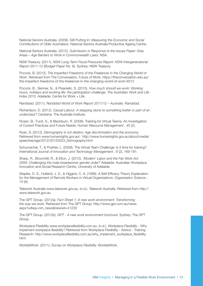National Seniors Australia. (2009). *Still Putting In: Measuring the Economic and Social Contributions of Older Australians.* National Seniors Australia Productive Ageing Centre.

National Seniors Australia. (2012). *Submission in Response to the Issues Paper: Grey Areas – Age Barriers to Work in Commonwealth Laws.* NSA.

NSW Treasury. (2011). *NSW Long-Term Fiscal Pressures Report: NSW Intergenerational Report 2011-12 (Budget Paper No. 6).* Sydney: NSW Treasury.

Pocock, B. (2012). *The Imperfect Freedoms of the Freelancer in the Changing World of Work*. Retrieved from The Conversation, Future of Work: https://theconversation.edu.au/ the-imperfect-freedoms-of-the-freelancer-in-the-changing-world-of-work-8312

Pocock, B., Skinner, N., & Pisaniello, S. (2010). *How much should we work: Working hours, holidays and working life: the participation challenge. The Australian Work and Life Index 2010.* Adelaide: Centre for Work + Life.

Randstad. (2011). *Randstad World of Work Report 2011/12 – Australia.* Randstad.

Richardson, D. (2012). *Casual Labour: A stepping stone to something better or part of an underclass?* Canberra: The Australia Institute.

Rosen, B., Furst, S., & Blackburn, R. (2006). Training for Virtual Teams: An Investigation of Current Practices and Future Needs. *Human Resource Management , 45* (2).

Ryan, S. (2012). *Demography is not destiny: Age discrimination and the economy.*  Retrieved from www.humanrights.gov.aul : http://www.humanrights.gov.au/about/media/ speeches/age/2012/20120523\_Demography.html

Schumacher, T., & Poehler, L. (2009). The Virtual Team Challenge: Is it time for training? *International Journal of Innovation and Technology Management , 6* (2), 169-181.

Sharp, R., Broomhill, R., & Elton, J. (2012). *'Modern' Labor and the Fair Work Act 2009: Challenging the male breadwinner gender order?* Adelaide: Australian Workplace Innovation and Social Research Centre, University of Adelaide.

Staples, D. S., Hulland, J. S., & Higgins, C. A. (1999). A Self-Efficacy Theory Explanation for the Management of Remote Workers in Virtual Organizations. *Organization Science , 10* (6).

Telework Australia www.telework.gov.au. (n.d.). *Telework Australia*. Retrieved from http:// www.telework.gov.au

The GPT Group. (2012a). *Fact Sheet 1: A new work environment: Transforming the way we work.* Retrieved from The GPT Group: http://www.gpt.com.au/news. aspx?urlkey=nm\_news&newsid=41229

The GPT Group. (2012b). *GPT - A new work environment brochure.* Sydney: The GPT Group.

Workplace Flexibility www.workplaceflexibility.com.au. (n.d.). *Workplace Flexibility - Why implement workplace flexibility?* Retrieved from Workplace Flexibility - Advice - Training -Research: http://www.workplaceflexibility.com.au/why\_implement\_workplace\_flexibility. html

WorldatWork. (2011). *Survey on Workplace Flexibility.* WorldatWork.